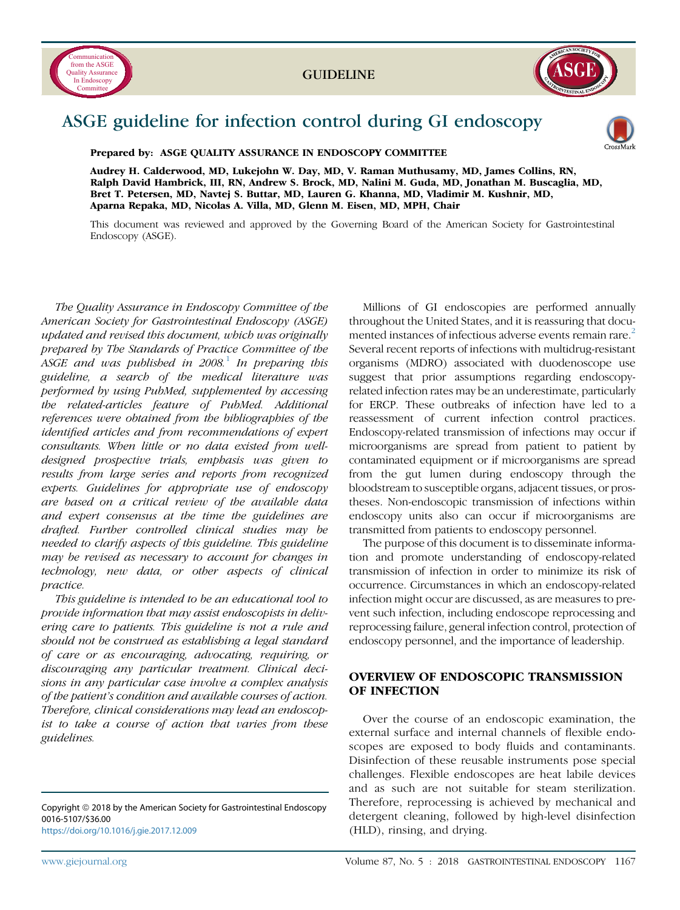



# ASGE guideline for infection control during GI endoscopy



Prepared by: ASGE QUALITY ASSURANCE IN ENDOSCOPY COMMITTEE

Audrey H. Calderwood, MD, Lukejohn W. Day, MD, V. Raman Muthusamy, MD, James Collins, RN, Ralph David Hambrick, III, RN, Andrew S. Brock, MD, Nalini M. Guda, MD, Jonathan M. Buscaglia, MD, Bret T. Petersen, MD, Navtej S. Buttar, MD, Lauren G. Khanna, MD, Vladimir M. Kushnir, MD, Aparna Repaka, MD, Nicolas A. Villa, MD, Glenn M. Eisen, MD, MPH, Chair

This document was reviewed and approved by the Governing Board of the American Society for Gastrointestinal Endoscopy (ASGE).

The Quality Assurance in Endoscopy Committee of the American Society for Gastrointestinal Endoscopy (ASGE) updated and revised this document, which was originally prepared by The Standards of Practice Committee of the ASGE and was published in  $2008<sup>1</sup>$  $2008<sup>1</sup>$  $2008<sup>1</sup>$  In preparing this guideline, a search of the medical literature was performed by using PubMed, supplemented by accessing the related-articles feature of PubMed. Additional references were obtained from the bibliographies of the identified articles and from recommendations of expert consultants. When little or no data existed from welldesigned prospective trials, emphasis was given to results from large series and reports from recognized experts. Guidelines for appropriate use of endoscopy are based on a critical review of the available data and expert consensus at the time the guidelines are drafted. Further controlled clinical studies may be needed to clarify aspects of this guideline. This guideline may be revised as necessary to account for changes in technology, new data, or other aspects of clinical practice.

This guideline is intended to be an educational tool to provide information that may assist endoscopists in delivering care to patients. This guideline is not a rule and should not be construed as establishing a legal standard of care or as encouraging, advocating, requiring, or discouraging any particular treatment. Clinical decisions in any particular case involve a complex analysis of the patient's condition and available courses of action. Therefore, clinical considerations may lead an endoscopist to take a course of action that varies from these guidelines.

Copyright © 2018 by the American Society for Gastrointestinal Endoscopy 0016-5107/\$36.00 <https://doi.org/10.1016/j.gie.2017.12.009>

Millions of GI endoscopies are performed annually throughout the United States, and it is reassuring that docu-mented instances of infectious adverse events remain rare.<sup>[2](#page-9-0)</sup> Several recent reports of infections with multidrug-resistant organisms (MDRO) associated with duodenoscope use suggest that prior assumptions regarding endoscopyrelated infection rates may be an underestimate, particularly for ERCP. These outbreaks of infection have led to a reassessment of current infection control practices. Endoscopy-related transmission of infections may occur if microorganisms are spread from patient to patient by contaminated equipment or if microorganisms are spread from the gut lumen during endoscopy through the bloodstream to susceptible organs, adjacent tissues, or prostheses. Non-endoscopic transmission of infections within endoscopy units also can occur if microorganisms are transmitted from patients to endoscopy personnel.

The purpose of this document is to disseminate information and promote understanding of endoscopy-related transmission of infection in order to minimize its risk of occurrence. Circumstances in which an endoscopy-related infection might occur are discussed, as are measures to prevent such infection, including endoscope reprocessing and reprocessing failure, general infection control, protection of endoscopy personnel, and the importance of leadership.

# OVERVIEW OF ENDOSCOPIC TRANSMISSION OF INFECTION

Over the course of an endoscopic examination, the external surface and internal channels of flexible endoscopes are exposed to body fluids and contaminants. Disinfection of these reusable instruments pose special challenges. Flexible endoscopes are heat labile devices and as such are not suitable for steam sterilization. Therefore, reprocessing is achieved by mechanical and detergent cleaning, followed by high-level disinfection (HLD), rinsing, and drying.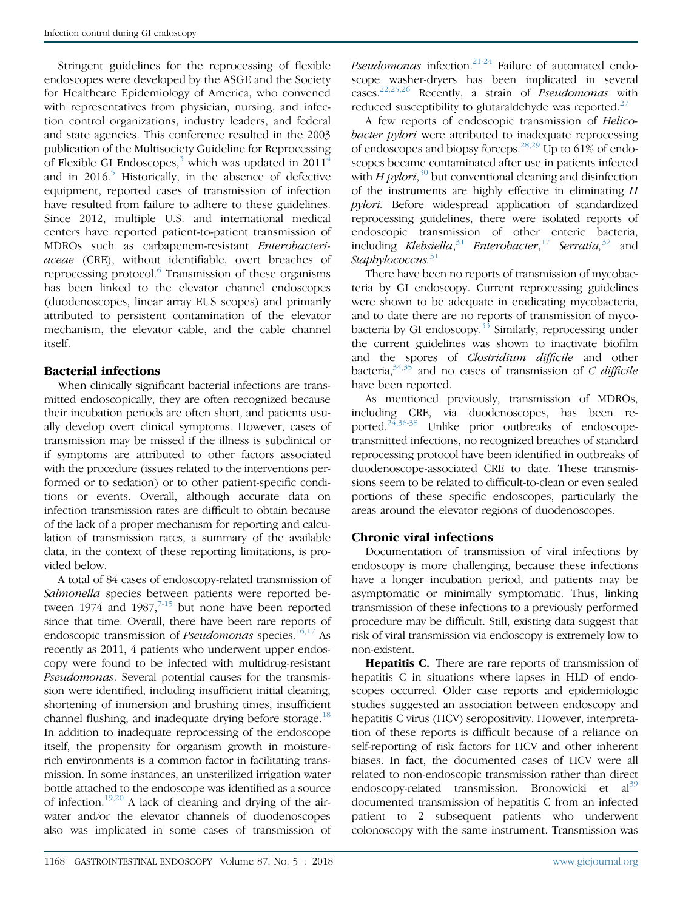Stringent guidelines for the reprocessing of flexible endoscopes were developed by the ASGE and the Society for Healthcare Epidemiology of America, who convened with representatives from physician, nursing, and infection control organizations, industry leaders, and federal and state agencies. This conference resulted in the 2003 publication of the Multisociety Guideline for Reprocessing of Flexible GI Endoscopes,<sup>[3](#page-9-0)</sup> which was updated in  $2011<sup>4</sup>$  $2011<sup>4</sup>$  $2011<sup>4</sup>$ and in  $2016$ .<sup>[5](#page-9-0)</sup> Historically, in the absence of defective equipment, reported cases of transmission of infection have resulted from failure to adhere to these guidelines. Since 2012, multiple U.S. and international medical centers have reported patient-to-patient transmission of MDROs such as carbapenem-resistant Enterobacteriaceae (CRE), without identifiable, overt breaches of reprocessing protocol.<sup>[6](#page-9-0)</sup> Transmission of these organisms has been linked to the elevator channel endoscopes (duodenoscopes, linear array EUS scopes) and primarily attributed to persistent contamination of the elevator mechanism, the elevator cable, and the cable channel itself.

### Bacterial infections

When clinically significant bacterial infections are transmitted endoscopically, they are often recognized because their incubation periods are often short, and patients usually develop overt clinical symptoms. However, cases of transmission may be missed if the illness is subclinical or if symptoms are attributed to other factors associated with the procedure (issues related to the interventions performed or to sedation) or to other patient-specific conditions or events. Overall, although accurate data on infection transmission rates are difficult to obtain because of the lack of a proper mechanism for reporting and calculation of transmission rates, a summary of the available data, in the context of these reporting limitations, is provided below.

A total of 84 cases of endoscopy-related transmission of Salmonella species between patients were reported between 1974 and 1987, $7-15$  but none have been reported since that time. Overall, there have been rare reports of endoscopic transmission of *Pseudomonas* species.<sup>[16,17](#page-9-0)</sup> As recently as 2011, 4 patients who underwent upper endoscopy were found to be infected with multidrug-resistant Pseudomonas. Several potential causes for the transmission were identified, including insufficient initial cleaning, shortening of immersion and brushing times, insufficient channel flushing, and inadequate drying before storage.<sup>[18](#page-9-0)</sup> In addition to inadequate reprocessing of the endoscope itself, the propensity for organism growth in moisturerich environments is a common factor in facilitating transmission. In some instances, an unsterilized irrigation water bottle attached to the endoscope was identified as a source of infection.<sup>[19,20](#page-9-0)</sup> A lack of cleaning and drying of the airwater and/or the elevator channels of duodenoscopes also was implicated in some cases of transmission of *Pseudomonas* infection.<sup>[21-24](#page-9-0)</sup> Failure of automated endoscope washer-dryers has been implicated in several cases. $22,25,26$  Recently, a strain of *Pseudomonas* with reduced susceptibility to glutaraldehyde was reported. $27$ 

A few reports of endoscopic transmission of Helicobacter pylori were attributed to inadequate reprocessing of endoscopes and biopsy forceps.<sup>[28,29](#page-9-0)</sup> Up to 61% of endoscopes became contaminated after use in patients infected with H pylori,<sup>[30](#page-9-0)</sup> but conventional cleaning and disinfection of the instruments are highly effective in eliminating  $H$ pylori. Before widespread application of standardized reprocessing guidelines, there were isolated reports of endoscopic transmission of other enteric bacteria, including Klebsiella,  $31$  Enterobacter,  $17$  Serratia,  $32$  and Staphylococcus.<sup>[31](#page-9-0)</sup>

There have been no reports of transmission of mycobacteria by GI endoscopy. Current reprocessing guidelines were shown to be adequate in eradicating mycobacteria, and to date there are no reports of transmission of myco-bacteria by GI endoscopy.<sup>[33](#page-10-0)</sup> Similarly, reprocessing under the current guidelines was shown to inactivate biofilm and the spores of Clostridium difficile and other bacteria,  $34,35$  and no cases of transmission of C difficile have been reported.

As mentioned previously, transmission of MDROs, including CRE, via duodenoscopes, has been re-ported.<sup>[24,36-38](#page-9-0)</sup> Unlike prior outbreaks of endoscopetransmitted infections, no recognized breaches of standard reprocessing protocol have been identified in outbreaks of duodenoscope-associated CRE to date. These transmissions seem to be related to difficult-to-clean or even sealed portions of these specific endoscopes, particularly the areas around the elevator regions of duodenoscopes.

### Chronic viral infections

Documentation of transmission of viral infections by endoscopy is more challenging, because these infections have a longer incubation period, and patients may be asymptomatic or minimally symptomatic. Thus, linking transmission of these infections to a previously performed procedure may be difficult. Still, existing data suggest that risk of viral transmission via endoscopy is extremely low to non-existent.

Hepatitis C. There are rare reports of transmission of hepatitis C in situations where lapses in HLD of endoscopes occurred. Older case reports and epidemiologic studies suggested an association between endoscopy and hepatitis C virus (HCV) seropositivity. However, interpretation of these reports is difficult because of a reliance on self-reporting of risk factors for HCV and other inherent biases. In fact, the documented cases of HCV were all related to non-endoscopic transmission rather than direct endoscopy-related transmission. Bronowicki et al<sup>[39](#page-10-0)</sup> documented transmission of hepatitis C from an infected patient to 2 subsequent patients who underwent colonoscopy with the same instrument. Transmission was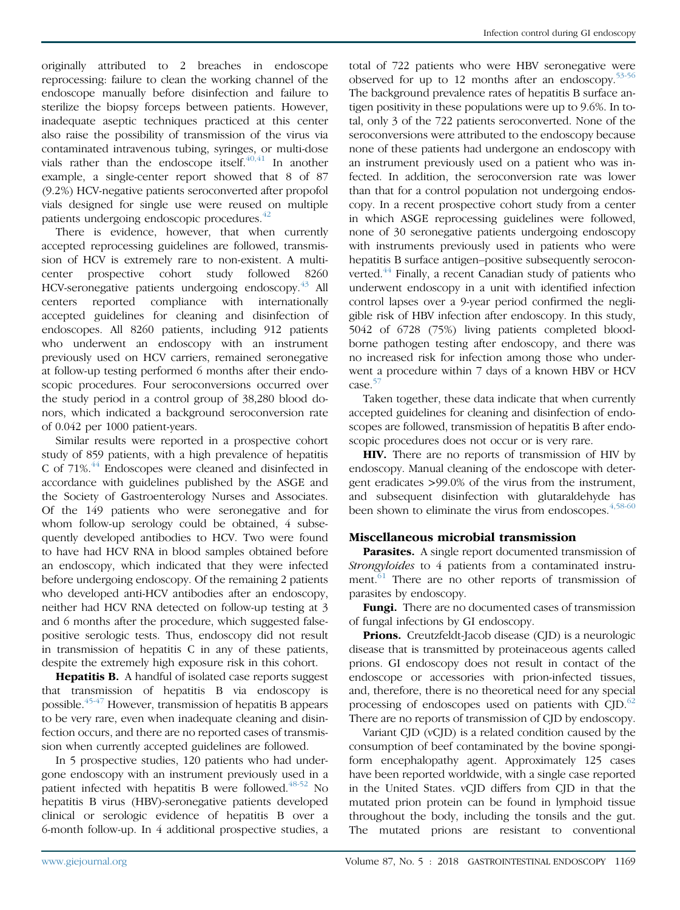originally attributed to 2 breaches in endoscope reprocessing: failure to clean the working channel of the endoscope manually before disinfection and failure to sterilize the biopsy forceps between patients. However, inadequate aseptic techniques practiced at this center also raise the possibility of transmission of the virus via contaminated intravenous tubing, syringes, or multi-dose vials rather than the endoscope itself. $40,41$  In another example, a single-center report showed that 8 of 87 (9.2%) HCV-negative patients seroconverted after propofol vials designed for single use were reused on multiple patients undergoing endoscopic procedures.<sup>[42](#page-10-0)</sup>

There is evidence, however, that when currently accepted reprocessing guidelines are followed, transmission of HCV is extremely rare to non-existent. A multicenter prospective cohort study followed 8260 HCV-seronegative patients undergoing endoscopy.<sup>45</sup> All centers reported compliance with internationally accepted guidelines for cleaning and disinfection of endoscopes. All 8260 patients, including 912 patients who underwent an endoscopy with an instrument previously used on HCV carriers, remained seronegative at follow-up testing performed 6 months after their endoscopic procedures. Four seroconversions occurred over the study period in a control group of 38,280 blood donors, which indicated a background seroconversion rate of 0.042 per 1000 patient-years.

Similar results were reported in a prospective cohort study of 859 patients, with a high prevalence of hepatitis C of 71%<sup>[44](#page-10-0)</sup> Endoscopes were cleaned and disinfected in accordance with guidelines published by the ASGE and the Society of Gastroenterology Nurses and Associates. Of the 149 patients who were seronegative and for whom follow-up serology could be obtained, 4 subsequently developed antibodies to HCV. Two were found to have had HCV RNA in blood samples obtained before an endoscopy, which indicated that they were infected before undergoing endoscopy. Of the remaining 2 patients who developed anti-HCV antibodies after an endoscopy, neither had HCV RNA detected on follow-up testing at 3 and 6 months after the procedure, which suggested falsepositive serologic tests. Thus, endoscopy did not result in transmission of hepatitis C in any of these patients, despite the extremely high exposure risk in this cohort.

Hepatitis B. A handful of isolated case reports suggest that transmission of hepatitis B via endoscopy is possible.[45-47](#page-10-0) However, transmission of hepatitis B appears to be very rare, even when inadequate cleaning and disinfection occurs, and there are no reported cases of transmission when currently accepted guidelines are followed.

In 5 prospective studies, 120 patients who had undergone endoscopy with an instrument previously used in a patient infected with hepatitis B were followed. $48-52$  No hepatitis B virus (HBV)-seronegative patients developed clinical or serologic evidence of hepatitis B over a 6-month follow-up. In 4 additional prospective studies, a

total of 722 patients who were HBV seronegative were observed for up to 12 months after an endoscopy.  $53-56$ The background prevalence rates of hepatitis B surface antigen positivity in these populations were up to 9.6%. In total, only 3 of the 722 patients seroconverted. None of the seroconversions were attributed to the endoscopy because none of these patients had undergone an endoscopy with an instrument previously used on a patient who was infected. In addition, the seroconversion rate was lower than that for a control population not undergoing endoscopy. In a recent prospective cohort study from a center in which ASGE reprocessing guidelines were followed, none of 30 seronegative patients undergoing endoscopy with instruments previously used in patients who were hepatitis B surface antigen–positive subsequently serocon-verted.<sup>[44](#page-10-0)</sup> Finally, a recent Canadian study of patients who underwent endoscopy in a unit with identified infection control lapses over a 9-year period confirmed the negligible risk of HBV infection after endoscopy. In this study, 5042 of 6728 (75%) living patients completed bloodborne pathogen testing after endoscopy, and there was no increased risk for infection among those who underwent a procedure within 7 days of a known HBV or HCV case.[57](#page-10-0)

Taken together, these data indicate that when currently accepted guidelines for cleaning and disinfection of endoscopes are followed, transmission of hepatitis B after endoscopic procedures does not occur or is very rare.

HIV. There are no reports of transmission of HIV by endoscopy. Manual cleaning of the endoscope with detergent eradicates >99.0% of the virus from the instrument, and subsequent disinfection with glutaraldehyde has been shown to eliminate the virus from endoscopes.  $4,58-60$ 

# Miscellaneous microbial transmission

Parasites. A single report documented transmission of Strongyloides to 4 patients from a contaminated instru-ment.<sup>[61](#page-10-0)</sup> There are no other reports of transmission of parasites by endoscopy.

Fungi. There are no documented cases of transmission of fungal infections by GI endoscopy.

Prions. Creutzfeldt-Jacob disease (CJD) is a neurologic disease that is transmitted by proteinaceous agents called prions. GI endoscopy does not result in contact of the endoscope or accessories with prion-infected tissues, and, therefore, there is no theoretical need for any special processing of endoscopes used on patients with CJD. $^{62}$  $^{62}$  $^{62}$ There are no reports of transmission of CJD by endoscopy.

Variant CJD (vCJD) is a related condition caused by the consumption of beef contaminated by the bovine spongiform encephalopathy agent. Approximately 125 cases have been reported worldwide, with a single case reported in the United States. vCJD differs from CJD in that the mutated prion protein can be found in lymphoid tissue throughout the body, including the tonsils and the gut. The mutated prions are resistant to conventional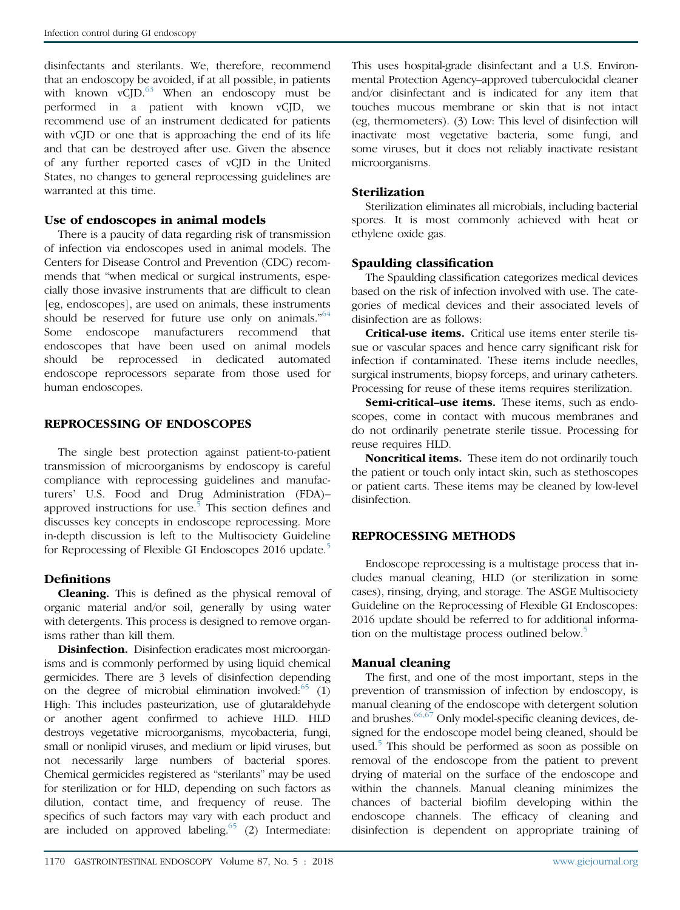disinfectants and sterilants. We, therefore, recommend that an endoscopy be avoided, if at all possible, in patients with known vCJD. $^{63}$  $^{63}$  $^{63}$  When an endoscopy must be performed in a patient with known vCJD, we recommend use of an instrument dedicated for patients with vCJD or one that is approaching the end of its life and that can be destroyed after use. Given the absence of any further reported cases of vCJD in the United States, no changes to general reprocessing guidelines are warranted at this time.

# Use of endoscopes in animal models

There is a paucity of data regarding risk of transmission of infection via endoscopes used in animal models. The Centers for Disease Control and Prevention (CDC) recommends that "when medical or surgical instruments, especially those invasive instruments that are difficult to clean [eg, endoscopes], are used on animals, these instruments should be reserved for future use only on animals."<sup>[64](#page-10-0)</sup> Some endoscope manufacturers recommend that endoscopes that have been used on animal models should be reprocessed in dedicated automated endoscope reprocessors separate from those used for human endoscopes.

### REPROCESSING OF ENDOSCOPES

The single best protection against patient-to-patient transmission of microorganisms by endoscopy is careful compliance with reprocessing guidelines and manufacturers' U.S. Food and Drug Administration (FDA)– approved instructions for use.<sup>5</sup> This section defines and discusses key concepts in endoscope reprocessing. More in-depth discussion is left to the Multisociety Guideline for Reprocessing of Flexible GI Endoscopes 2016 update.<sup>[5](#page-9-0)</sup>

# **Definitions**

Cleaning. This is defined as the physical removal of organic material and/or soil, generally by using water with detergents. This process is designed to remove organisms rather than kill them.

Disinfection. Disinfection eradicates most microorganisms and is commonly performed by using liquid chemical germicides. There are 3 levels of disinfection depending on the degree of microbial elimination involved: $65$  (1) High: This includes pasteurization, use of glutaraldehyde or another agent confirmed to achieve HLD. HLD destroys vegetative microorganisms, mycobacteria, fungi, small or nonlipid viruses, and medium or lipid viruses, but not necessarily large numbers of bacterial spores. Chemical germicides registered as "sterilants" may be used for sterilization or for HLD, depending on such factors as dilution, contact time, and frequency of reuse. The specifics of such factors may vary with each product and are included on approved labeling. $65$  (2) Intermediate:

This uses hospital-grade disinfectant and a U.S. Environmental Protection Agency–approved tuberculocidal cleaner and/or disinfectant and is indicated for any item that touches mucous membrane or skin that is not intact (eg, thermometers). (3) Low: This level of disinfection will inactivate most vegetative bacteria, some fungi, and some viruses, but it does not reliably inactivate resistant microorganisms.

### Sterilization

Sterilization eliminates all microbials, including bacterial spores. It is most commonly achieved with heat or ethylene oxide gas.

### Spaulding classification

The Spaulding classification categorizes medical devices based on the risk of infection involved with use. The categories of medical devices and their associated levels of disinfection are as follows:

Critical-use items. Critical use items enter sterile tissue or vascular spaces and hence carry significant risk for infection if contaminated. These items include needles, surgical instruments, biopsy forceps, and urinary catheters. Processing for reuse of these items requires sterilization.

Semi-critical-use items. These items, such as endoscopes, come in contact with mucous membranes and do not ordinarily penetrate sterile tissue. Processing for reuse requires HLD.

Noncritical items. These item do not ordinarily touch the patient or touch only intact skin, such as stethoscopes or patient carts. These items may be cleaned by low-level disinfection.

# REPROCESSING METHODS

Endoscope reprocessing is a multistage process that includes manual cleaning, HLD (or sterilization in some cases), rinsing, drying, and storage. The ASGE Multisociety Guideline on the Reprocessing of Flexible GI Endoscopes: 2016 update should be referred to for additional informa-tion on the multistage process outlined below.<sup>[5](#page-9-0)</sup>

# Manual cleaning

The first, and one of the most important, steps in the prevention of transmission of infection by endoscopy, is manual cleaning of the endoscope with detergent solution and brushes.<sup>[66,67](#page-10-0)</sup> Only model-specific cleaning devices, designed for the endoscope model being cleaned, should be used.<sup>[5](#page-9-0)</sup> This should be performed as soon as possible on removal of the endoscope from the patient to prevent drying of material on the surface of the endoscope and within the channels. Manual cleaning minimizes the chances of bacterial biofilm developing within the endoscope channels. The efficacy of cleaning and disinfection is dependent on appropriate training of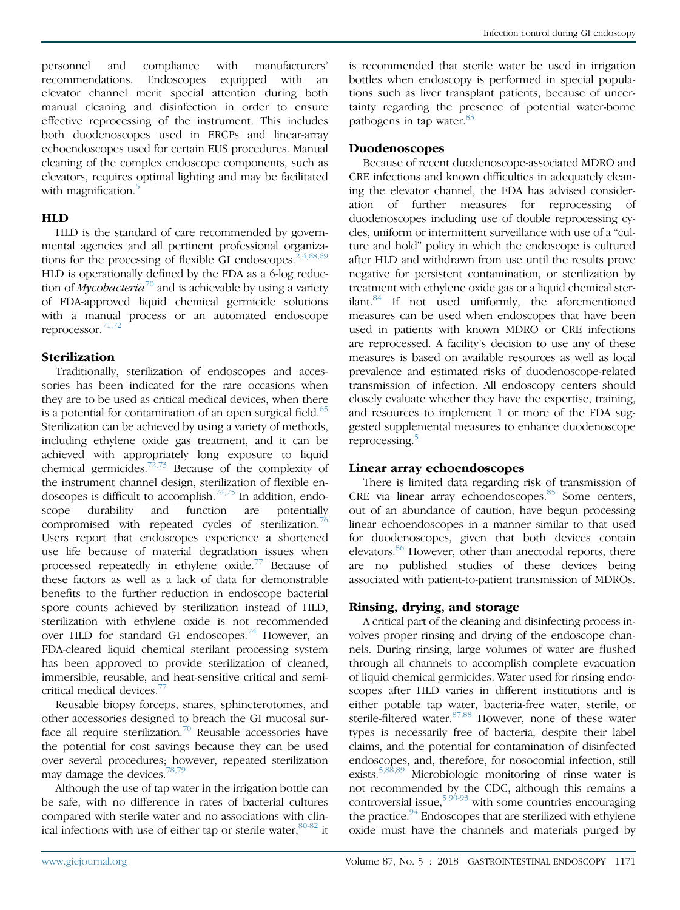personnel and compliance with manufacturers' recommendations. Endoscopes equipped with an elevator channel merit special attention during both manual cleaning and disinfection in order to ensure effective reprocessing of the instrument. This includes both duodenoscopes used in ERCPs and linear-array echoendoscopes used for certain EUS procedures. Manual cleaning of the complex endoscope components, such as elevators, requires optimal lighting and may be facilitated with magnification.<sup>[5](#page-9-0)</sup>

### **HLD**

HLD is the standard of care recommended by governmental agencies and all pertinent professional organiza-tions for the processing of flexible GI endoscopes.<sup>[2,4,68,69](#page-9-0)</sup> HLD is operationally defined by the FDA as a 6-log reduction of *Mycobacteria*<sup>[70](#page-10-0)</sup> and is achievable by using a variety of FDA-approved liquid chemical germicide solutions with a manual process or an automated endoscope reprocessor.<sup>[71,72](#page-10-0)</sup>

### Sterilization

Traditionally, sterilization of endoscopes and accessories has been indicated for the rare occasions when they are to be used as critical medical devices, when there is a potential for contamination of an open surgical field. $65$ Sterilization can be achieved by using a variety of methods, including ethylene oxide gas treatment, and it can be achieved with appropriately long exposure to liquid chemical germicides.<sup>[72,73](#page-10-0)</sup> Because of the complexity of the instrument channel design, sterilization of flexible en-doscopes is difficult to accomplish.<sup>[74,75](#page-10-0)</sup> In addition, endoscope durability and function are potentially compromised with repeated cycles of sterilization.<sup>[76](#page-10-0)</sup> Users report that endoscopes experience a shortened use life because of material degradation issues when processed repeatedly in ethylene oxide. $\frac{7}{7}$  Because of these factors as well as a lack of data for demonstrable benefits to the further reduction in endoscope bacterial spore counts achieved by sterilization instead of HLD, sterilization with ethylene oxide is not recommended over HLD for standard GI endoscopes.<sup>[74](#page-10-0)</sup> However, an FDA-cleared liquid chemical sterilant processing system has been approved to provide sterilization of cleaned, immersible, reusable, and heat-sensitive critical and semicritical medical devices.<sup>7</sup>

Reusable biopsy forceps, snares, sphincterotomes, and other accessories designed to breach the GI mucosal sur-face all require sterilization.<sup>[70](#page-10-0)</sup> Reusable accessories have the potential for cost savings because they can be used over several procedures; however, repeated sterilization may damage the devices.<sup>[78,79](#page-10-0)</sup>

Although the use of tap water in the irrigation bottle can be safe, with no difference in rates of bacterial cultures compared with sterile water and no associations with clinical infections with use of either tap or sterile water,  $80-82$  it

is recommended that sterile water be used in irrigation bottles when endoscopy is performed in special populations such as liver transplant patients, because of uncertainty regarding the presence of potential water-borne pathogens in tap water.<sup>[83](#page-11-0)</sup>

### Duodenoscopes

Because of recent duodenoscope-associated MDRO and CRE infections and known difficulties in adequately cleaning the elevator channel, the FDA has advised consideration of further measures for reprocessing of duodenoscopes including use of double reprocessing cycles, uniform or intermittent surveillance with use of a "culture and hold" policy in which the endoscope is cultured after HLD and withdrawn from use until the results prove negative for persistent contamination, or sterilization by treatment with ethylene oxide gas or a liquid chemical sterilant. $84$  If not used uniformly, the aforementioned measures can be used when endoscopes that have been used in patients with known MDRO or CRE infections are reprocessed. A facility's decision to use any of these measures is based on available resources as well as local prevalence and estimated risks of duodenoscope-related transmission of infection. All endoscopy centers should closely evaluate whether they have the expertise, training, and resources to implement 1 or more of the FDA suggested supplemental measures to enhance duodenoscope reprocessing.<sup>[5](#page-9-0)</sup>

### Linear array echoendoscopes

There is limited data regarding risk of transmission of CRE via linear array echoendoscopes. $85$  Some centers, out of an abundance of caution, have begun processing linear echoendoscopes in a manner similar to that used for duodenoscopes, given that both devices contain elevators.<sup>[86](#page-11-0)</sup> However, other than anectodal reports, there are no published studies of these devices being associated with patient-to-patient transmission of MDROs.

### Rinsing, drying, and storage

A critical part of the cleaning and disinfecting process involves proper rinsing and drying of the endoscope channels. During rinsing, large volumes of water are flushed through all channels to accomplish complete evacuation of liquid chemical germicides. Water used for rinsing endoscopes after HLD varies in different institutions and is either potable tap water, bacteria-free water, sterile, or sterile-filtered water.<sup>[87,88](#page-11-0)</sup> However, none of these water types is necessarily free of bacteria, despite their label claims, and the potential for contamination of disinfected endoscopes, and, therefore, for nosocomial infection, still exists.[5,88,89](#page-9-0) Microbiologic monitoring of rinse water is not recommended by the CDC, although this remains a controversial issue,  $5,90.93$  with some countries encouraging the practice. $94$  Endoscopes that are sterilized with ethylene oxide must have the channels and materials purged by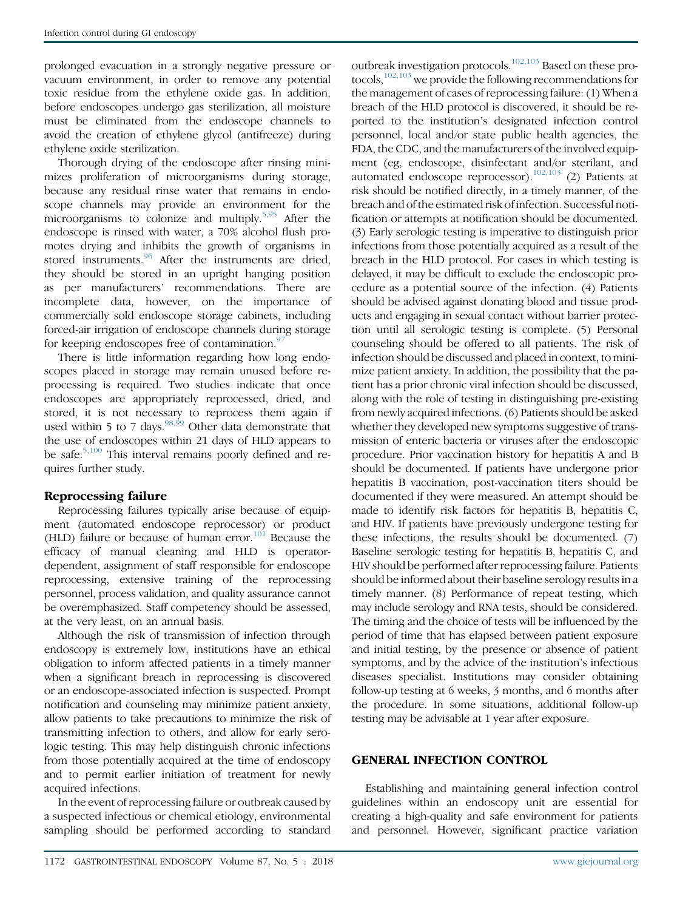prolonged evacuation in a strongly negative pressure or vacuum environment, in order to remove any potential toxic residue from the ethylene oxide gas. In addition, before endoscopes undergo gas sterilization, all moisture must be eliminated from the endoscope channels to avoid the creation of ethylene glycol (antifreeze) during ethylene oxide sterilization.

Thorough drying of the endoscope after rinsing minimizes proliferation of microorganisms during storage, because any residual rinse water that remains in endoscope channels may provide an environment for the microorganisms to colonize and multiply.<sup>5,95</sup> After the endoscope is rinsed with water, a 70% alcohol flush promotes drying and inhibits the growth of organisms in stored instruments.<sup>[96](#page-11-0)</sup> After the instruments are dried, they should be stored in an upright hanging position as per manufacturers' recommendations. There are incomplete data, however, on the importance of commercially sold endoscope storage cabinets, including forced-air irrigation of endoscope channels during storage for keeping endoscopes free of contamination. $97$ 

There is little information regarding how long endoscopes placed in storage may remain unused before reprocessing is required. Two studies indicate that once endoscopes are appropriately reprocessed, dried, and stored, it is not necessary to reprocess them again if used within 5 to 7 days.  $98,99$  Other data demonstrate that the use of endoscopes within 21 days of HLD appears to be safe.[5,100](#page-9-0) This interval remains poorly defined and requires further study.

### Reprocessing failure

Reprocessing failures typically arise because of equipment (automated endoscope reprocessor) or product (HLD) failure or because of human error. $101$  Because the efficacy of manual cleaning and HLD is operatordependent, assignment of staff responsible for endoscope reprocessing, extensive training of the reprocessing personnel, process validation, and quality assurance cannot be overemphasized. Staff competency should be assessed, at the very least, on an annual basis.

Although the risk of transmission of infection through endoscopy is extremely low, institutions have an ethical obligation to inform affected patients in a timely manner when a significant breach in reprocessing is discovered or an endoscope-associated infection is suspected. Prompt notification and counseling may minimize patient anxiety, allow patients to take precautions to minimize the risk of transmitting infection to others, and allow for early serologic testing. This may help distinguish chronic infections from those potentially acquired at the time of endoscopy and to permit earlier initiation of treatment for newly acquired infections.

In the event of reprocessing failure or outbreak caused by a suspected infectious or chemical etiology, environmental sampling should be performed according to standard

outbreak investigation protocols.<sup>[102,103](#page-11-0)</sup> Based on these protocols,  $102,103$  we provide the following recommendations for the management of cases of reprocessing failure: (1) When a breach of the HLD protocol is discovered, it should be reported to the institution's designated infection control personnel, local and/or state public health agencies, the FDA, the CDC, and the manufacturers of the involved equipment (eg, endoscope, disinfectant and/or sterilant, and automated endoscope reprocessor).<sup>[102,103](#page-11-0)</sup> (2) Patients at risk should be notified directly, in a timely manner, of the breach and of the estimated risk of infection. Successful notification or attempts at notification should be documented. (3) Early serologic testing is imperative to distinguish prior infections from those potentially acquired as a result of the breach in the HLD protocol. For cases in which testing is delayed, it may be difficult to exclude the endoscopic procedure as a potential source of the infection. (4) Patients should be advised against donating blood and tissue products and engaging in sexual contact without barrier protection until all serologic testing is complete. (5) Personal counseling should be offered to all patients. The risk of infection should be discussed and placed in context, to minimize patient anxiety. In addition, the possibility that the patient has a prior chronic viral infection should be discussed, along with the role of testing in distinguishing pre-existing from newly acquired infections. (6) Patients should be asked whether they developed new symptoms suggestive of transmission of enteric bacteria or viruses after the endoscopic procedure. Prior vaccination history for hepatitis A and B should be documented. If patients have undergone prior hepatitis B vaccination, post-vaccination titers should be documented if they were measured. An attempt should be made to identify risk factors for hepatitis B, hepatitis C, and HIV. If patients have previously undergone testing for these infections, the results should be documented. (7) Baseline serologic testing for hepatitis B, hepatitis C, and HIV should be performed after reprocessing failure. Patients should be informed about their baseline serology results in a timely manner. (8) Performance of repeat testing, which may include serology and RNA tests, should be considered. The timing and the choice of tests will be influenced by the period of time that has elapsed between patient exposure and initial testing, by the presence or absence of patient symptoms, and by the advice of the institution's infectious diseases specialist. Institutions may consider obtaining follow-up testing at 6 weeks, 3 months, and 6 months after the procedure. In some situations, additional follow-up testing may be advisable at 1 year after exposure.

#### GENERAL INFECTION CONTROL

Establishing and maintaining general infection control guidelines within an endoscopy unit are essential for creating a high-quality and safe environment for patients and personnel. However, significant practice variation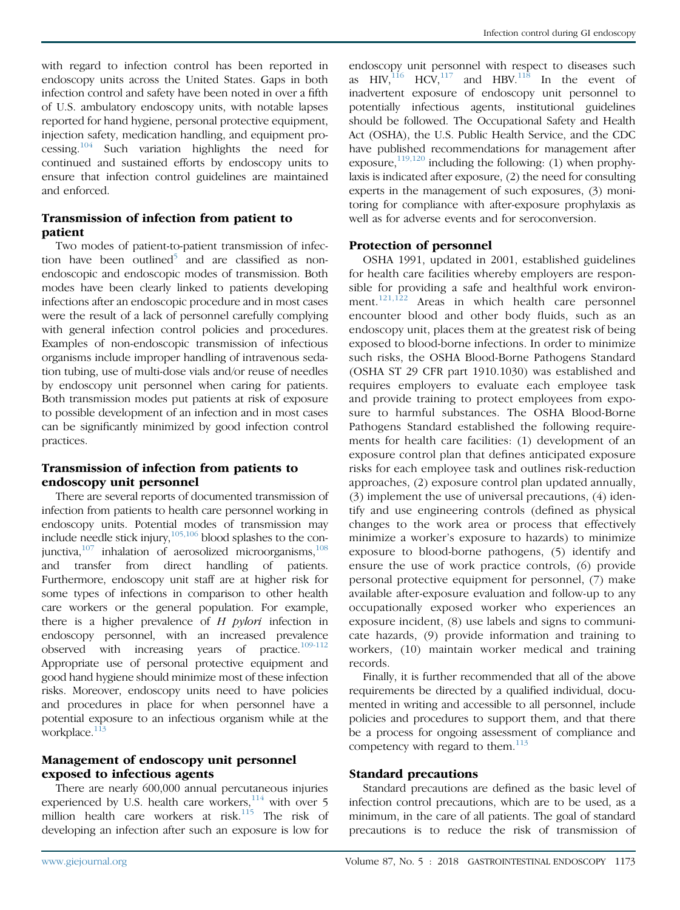with regard to infection control has been reported in endoscopy units across the United States. Gaps in both infection control and safety have been noted in over a fifth of U.S. ambulatory endoscopy units, with notable lapses reported for hand hygiene, personal protective equipment, injection safety, medication handling, and equipment pro-cessing.<sup>[104](#page-11-0)</sup> Such variation highlights the need for continued and sustained efforts by endoscopy units to ensure that infection control guidelines are maintained and enforced.

### Transmission of infection from patient to patient

Two modes of patient-to-patient transmission of infec-tion have been outlined<sup>[5](#page-9-0)</sup> and are classified as nonendoscopic and endoscopic modes of transmission. Both modes have been clearly linked to patients developing infections after an endoscopic procedure and in most cases were the result of a lack of personnel carefully complying with general infection control policies and procedures. Examples of non-endoscopic transmission of infectious organisms include improper handling of intravenous sedation tubing, use of multi-dose vials and/or reuse of needles by endoscopy unit personnel when caring for patients. Both transmission modes put patients at risk of exposure to possible development of an infection and in most cases can be significantly minimized by good infection control practices.

### Transmission of infection from patients to endoscopy unit personnel

There are several reports of documented transmission of infection from patients to health care personnel working in endoscopy units. Potential modes of transmission may include needle stick injury, $105,106$  blood splashes to the conjunctiva, $107$  inhalation of aerosolized microorganisms,  $108$ and transfer from direct handling of patients. Furthermore, endoscopy unit staff are at higher risk for some types of infections in comparison to other health care workers or the general population. For example, there is a higher prevalence of  $H$  pylori infection in endoscopy personnel, with an increased prevalence observed with increasing years of practice.<sup>109-112</sup> Appropriate use of personal protective equipment and good hand hygiene should minimize most of these infection risks. Moreover, endoscopy units need to have policies and procedures in place for when personnel have a potential exposure to an infectious organism while at the workplace.<sup>[113](#page-11-0)</sup>

### Management of endoscopy unit personnel exposed to infectious agents

There are nearly 600,000 annual percutaneous injuries experienced by U.S. health care workers,  $114$  with over 5 million health care workers at risk.<sup>[115](#page-11-0)</sup> The risk of developing an infection after such an exposure is low for endoscopy unit personnel with respect to diseases such as  $HIV$ ,  $116$   $HCV$ ,  $117$  and  $HBV$ ,  $118$  In the event of inadvertent exposure of endoscopy unit personnel to potentially infectious agents, institutional guidelines should be followed. The Occupational Safety and Health Act (OSHA), the U.S. Public Health Service, and the CDC have published recommendations for management after exposure,  $119,120$  including the following: (1) when prophylaxis is indicated after exposure, (2) the need for consulting experts in the management of such exposures, (3) monitoring for compliance with after-exposure prophylaxis as well as for adverse events and for seroconversion.

### Protection of personnel

OSHA 1991, updated in 2001, established guidelines for health care facilities whereby employers are responsible for providing a safe and healthful work environ-ment.<sup>[121,122](#page-11-0)</sup> Areas in which health care personnel encounter blood and other body fluids, such as an endoscopy unit, places them at the greatest risk of being exposed to blood-borne infections. In order to minimize such risks, the OSHA Blood-Borne Pathogens Standard (OSHA ST 29 CFR part 1910.1030) was established and requires employers to evaluate each employee task and provide training to protect employees from exposure to harmful substances. The OSHA Blood-Borne Pathogens Standard established the following requirements for health care facilities: (1) development of an exposure control plan that defines anticipated exposure risks for each employee task and outlines risk-reduction approaches, (2) exposure control plan updated annually, (3) implement the use of universal precautions, (4) identify and use engineering controls (defined as physical changes to the work area or process that effectively minimize a worker's exposure to hazards) to minimize exposure to blood-borne pathogens, (5) identify and ensure the use of work practice controls, (6) provide personal protective equipment for personnel, (7) make available after-exposure evaluation and follow-up to any occupationally exposed worker who experiences an exposure incident, (8) use labels and signs to communicate hazards, (9) provide information and training to workers, (10) maintain worker medical and training records.

Finally, it is further recommended that all of the above requirements be directed by a qualified individual, documented in writing and accessible to all personnel, include policies and procedures to support them, and that there be a process for ongoing assessment of compliance and competency with regard to them. $^{113}$  $^{113}$  $^{113}$ 

### Standard precautions

Standard precautions are defined as the basic level of infection control precautions, which are to be used, as a minimum, in the care of all patients. The goal of standard precautions is to reduce the risk of transmission of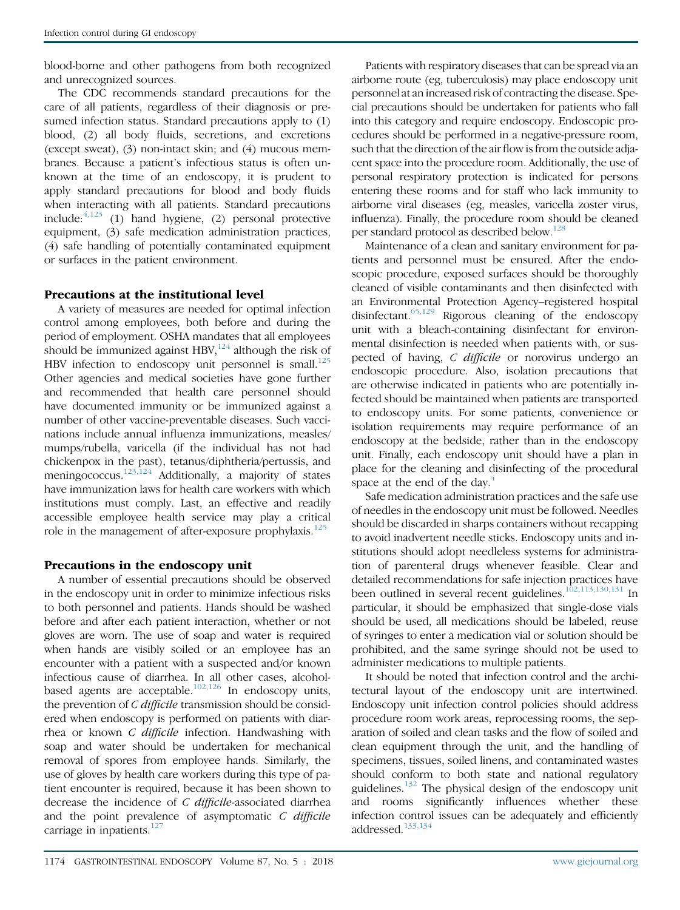blood-borne and other pathogens from both recognized and unrecognized sources.

The CDC recommends standard precautions for the care of all patients, regardless of their diagnosis or presumed infection status. Standard precautions apply to (1) blood, (2) all body fluids, secretions, and excretions (except sweat), (3) non-intact skin; and (4) mucous membranes. Because a patient's infectious status is often unknown at the time of an endoscopy, it is prudent to apply standard precautions for blood and body fluids when interacting with all patients. Standard precautions include: $4,123$  (1) hand hygiene, (2) personal protective equipment, (3) safe medication administration practices, (4) safe handling of potentially contaminated equipment or surfaces in the patient environment.

### Precautions at the institutional level

A variety of measures are needed for optimal infection control among employees, both before and during the period of employment. OSHA mandates that all employees should be immunized against  $HBV<sub>124</sub>$  $HBV<sub>124</sub>$  $HBV<sub>124</sub>$  although the risk of HBV infection to endoscopy unit personnel is small.<sup>[125](#page-11-0)</sup> Other agencies and medical societies have gone further and recommended that health care personnel should have documented immunity or be immunized against a number of other vaccine-preventable diseases. Such vaccinations include annual influenza immunizations, measles/ mumps/rubella, varicella (if the individual has not had chickenpox in the past), tetanus/diphtheria/pertussis, and meningococcus.[123,124](#page-11-0) Additionally, a majority of states have immunization laws for health care workers with which institutions must comply. Last, an effective and readily accessible employee health service may play a critical role in the management of after-exposure prophylaxis.<sup>[125](#page-11-0)</sup>

### Precautions in the endoscopy unit

A number of essential precautions should be observed in the endoscopy unit in order to minimize infectious risks to both personnel and patients. Hands should be washed before and after each patient interaction, whether or not gloves are worn. The use of soap and water is required when hands are visibly soiled or an employee has an encounter with a patient with a suspected and/or known infectious cause of diarrhea. In all other cases, alcohol-based agents are acceptable.<sup>[102,126](#page-11-0)</sup> In endoscopy units, the prevention of *C difficile* transmission should be considered when endoscopy is performed on patients with diarrhea or known C difficile infection. Handwashing with soap and water should be undertaken for mechanical removal of spores from employee hands. Similarly, the use of gloves by health care workers during this type of patient encounter is required, because it has been shown to decrease the incidence of C difficile-associated diarrhea and the point prevalence of asymptomatic C difficile carriage in inpatients. $^{127}$ 

Patients with respiratory diseases that can be spread via an airborne route (eg, tuberculosis) may place endoscopy unit personnel at an increased risk of contracting the disease. Special precautions should be undertaken for patients who fall into this category and require endoscopy. Endoscopic procedures should be performed in a negative-pressure room, such that the direction of the air flow is from the outside adjacent space into the procedure room. Additionally, the use of personal respiratory protection is indicated for persons entering these rooms and for staff who lack immunity to airborne viral diseases (eg, measles, varicella zoster virus, influenza). Finally, the procedure room should be cleaned per standard protocol as described below.<sup>[128](#page-12-0)</sup>

Maintenance of a clean and sanitary environment for patients and personnel must be ensured. After the endoscopic procedure, exposed surfaces should be thoroughly cleaned of visible contaminants and then disinfected with an Environmental Protection Agency–registered hospital disinfectant.  $65,129$  Rigorous cleaning of the endoscopy unit with a bleach-containing disinfectant for environmental disinfection is needed when patients with, or suspected of having, C difficile or norovirus undergo an endoscopic procedure. Also, isolation precautions that are otherwise indicated in patients who are potentially infected should be maintained when patients are transported to endoscopy units. For some patients, convenience or isolation requirements may require performance of an endoscopy at the bedside, rather than in the endoscopy unit. Finally, each endoscopy unit should have a plan in place for the cleaning and disinfecting of the procedural space at the end of the day. $4$ 

Safe medication administration practices and the safe use of needles in the endoscopy unit must be followed. Needles should be discarded in sharps containers without recapping to avoid inadvertent needle sticks. Endoscopy units and institutions should adopt needleless systems for administration of parenteral drugs whenever feasible. Clear and detailed recommendations for safe injection practices have been outlined in several recent guidelines.<sup>[102,113,130,131](#page-11-0)</sup> In particular, it should be emphasized that single-dose vials should be used, all medications should be labeled, reuse of syringes to enter a medication vial or solution should be prohibited, and the same syringe should not be used to administer medications to multiple patients.

It should be noted that infection control and the architectural layout of the endoscopy unit are intertwined. Endoscopy unit infection control policies should address procedure room work areas, reprocessing rooms, the separation of soiled and clean tasks and the flow of soiled and clean equipment through the unit, and the handling of specimens, tissues, soiled linens, and contaminated wastes should conform to both state and national regulatory guidelines. $132$  The physical design of the endoscopy unit and rooms significantly influences whether these infection control issues can be adequately and efficiently addressed.<sup>[133,134](#page-12-0)</sup>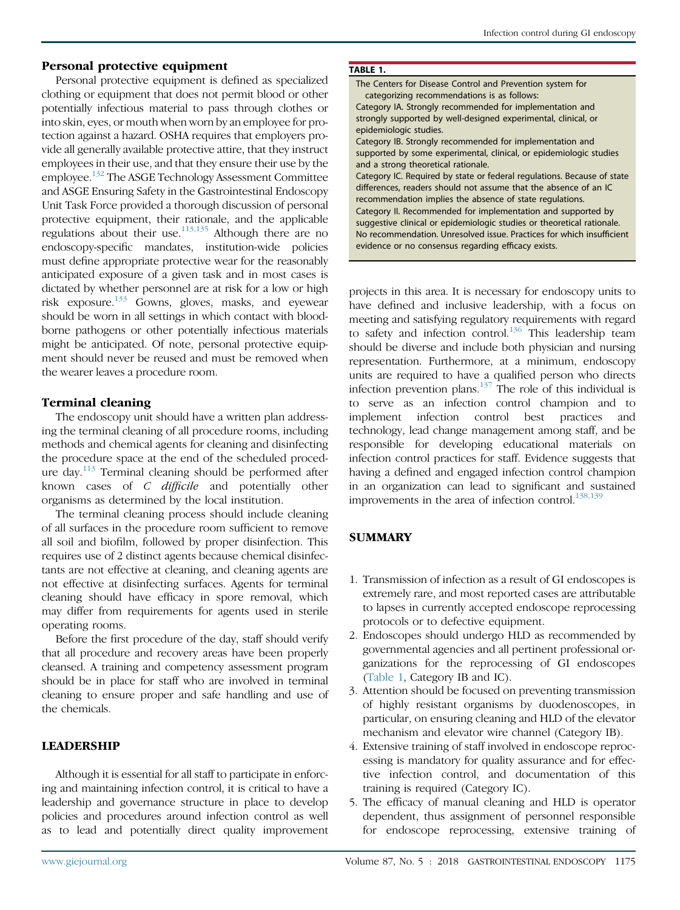### Personal protective equipment

Personal protective equipment is defined as specialized clothing or equipment that does not permit blood or other potentially infectious material to pass through clothes or into skin, eyes, or mouth when worn by an employee for protection against a hazard. OSHA requires that employers provide all generally available protective attire, that they instruct employees in their use, and that they ensure their use by the employee[.132](#page-12-0) The ASGE Technology Assessment Committee and ASGE Ensuring Safety in the Gastrointestinal Endoscopy Unit Task Force provided a thorough discussion of personal protective equipment, their rationale, and the applicable regulations about their use. $113,135$  Although there are no endoscopy-specific mandates, institution-wide policies must define appropriate protective wear for the reasonably anticipated exposure of a given task and in most cases is dictated by whether personnel are at risk for a low or high risk exposure. $133$  Gowns, gloves, masks, and eyewear should be worn in all settings in which contact with bloodborne pathogens or other potentially infectious materials might be anticipated. Of note, personal protective equipment should never be reused and must be removed when the wearer leaves a procedure room.

# Terminal cleaning

The endoscopy unit should have a written plan addressing the terminal cleaning of all procedure rooms, including methods and chemical agents for cleaning and disinfecting the procedure space at the end of the scheduled procedure day. $113$  Terminal cleaning should be performed after known cases of C difficile and potentially other organisms as determined by the local institution.

The terminal cleaning process should include cleaning of all surfaces in the procedure room sufficient to remove all soil and biofilm, followed by proper disinfection. This requires use of 2 distinct agents because chemical disinfectants are not effective at cleaning, and cleaning agents are not effective at disinfecting surfaces. Agents for terminal cleaning should have efficacy in spore removal, which may differ from requirements for agents used in sterile operating rooms.

Before the first procedure of the day, staff should verify that all procedure and recovery areas have been properly cleansed. A training and competency assessment program should be in place for staff who are involved in terminal cleaning to ensure proper and safe handling and use of the chemicals.

# LEADERSHIP

Although it is essential for all staff to participate in enforcing and maintaining infection control, it is critical to have a leadership and governance structure in place to develop policies and procedures around infection control as well as to lead and potentially direct quality improvement

#### TARLE<sub>1</sub>

| The Centers for Disease Control and Prevention system for<br>categorizing recommendations is as follows:<br>Category IA. Strongly recommended for implementation and<br>strongly supported by well-designed experimental, clinical, or<br>epidemiologic studies.<br>Category IB. Strongly recommended for implementation and<br>supported by some experimental, clinical, or epidemiologic studies<br>and a strong theoretical rationale.<br>Category IC. Required by state or federal regulations. Because of state<br>differences, readers should not assume that the absence of an IC<br>recommendation implies the absence of state regulations. |
|------------------------------------------------------------------------------------------------------------------------------------------------------------------------------------------------------------------------------------------------------------------------------------------------------------------------------------------------------------------------------------------------------------------------------------------------------------------------------------------------------------------------------------------------------------------------------------------------------------------------------------------------------|
| Category II. Recommended for implementation and supported by<br>suggestive clinical or epidemiologic studies or theoretical rationale.<br>No recommendation. Unresolved issue. Practices for which insufficient<br>evidence or no consensus regarding efficacy exists.                                                                                                                                                                                                                                                                                                                                                                               |
|                                                                                                                                                                                                                                                                                                                                                                                                                                                                                                                                                                                                                                                      |

projects in this area. It is necessary for endoscopy units to have defined and inclusive leadership, with a focus on meeting and satisfying regulatory requirements with regard to safety and infection control.<sup>136</sup> This leadership team should be diverse and include both physician and nursing representation. Furthermore, at a minimum, endoscopy units are required to have a qualified person who directs infection prevention plans. $137$  The role of this individual is to serve as an infection control champion and to implement infection control best practices and technology, lead change management among staff, and be responsible for developing educational materials on infection control practices for staff. Evidence suggests that having a defined and engaged infection control champion in an organization can lead to significant and sustained improvements in the area of infection control. $^{138,139}$ 

# **SUMMARY**

- 1. Transmission of infection as a result of GI endoscopes is extremely rare, and most reported cases are attributable to lapses in currently accepted endoscope reprocessing protocols or to defective equipment.
- 2. Endoscopes should undergo HLD as recommended by governmental agencies and all pertinent professional organizations for the reprocessing of GI endoscopes (Table 1, Category IB and IC).
- 3. Attention should be focused on preventing transmission of highly resistant organisms by duodenoscopes, in particular, on ensuring cleaning and HLD of the elevator mechanism and elevator wire channel (Category IB).
- 4. Extensive training of staff involved in endoscope reprocessing is mandatory for quality assurance and for effective infection control, and documentation of this training is required (Category IC).
- 5. The efficacy of manual cleaning and HLD is operator dependent, thus assignment of personnel responsible for endoscope reprocessing, extensive training of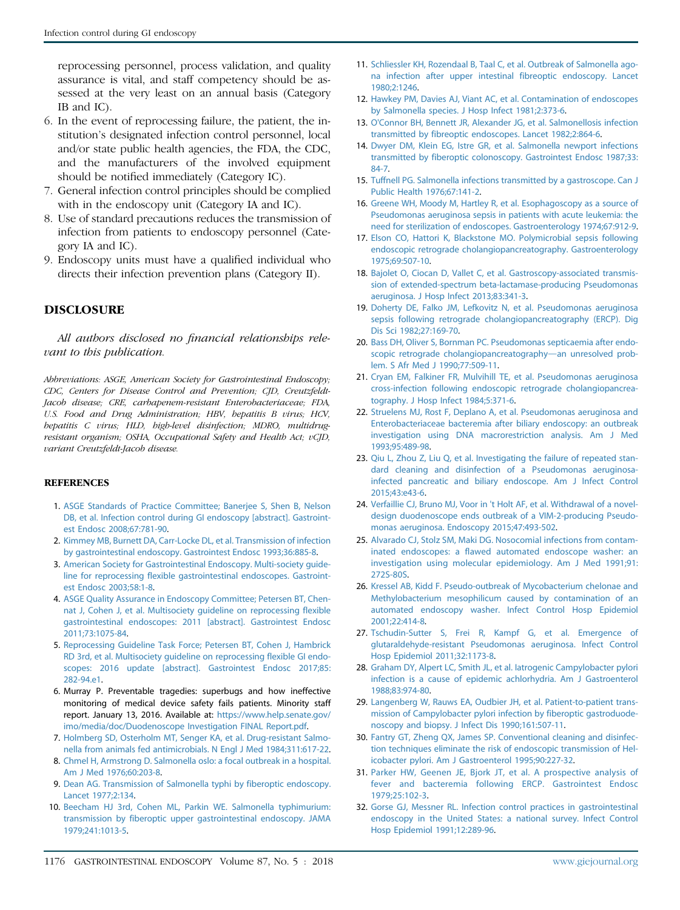<span id="page-9-0"></span>reprocessing personnel, process validation, and quality assurance is vital, and staff competency should be assessed at the very least on an annual basis (Category IB and IC).

- 6. In the event of reprocessing failure, the patient, the institution's designated infection control personnel, local and/or state public health agencies, the FDA, the CDC, and the manufacturers of the involved equipment should be notified immediately (Category IC).
- 7. General infection control principles should be complied with in the endoscopy unit (Category IA and IC).
- 8. Use of standard precautions reduces the transmission of infection from patients to endoscopy personnel (Category IA and IC).
- 9. Endoscopy units must have a qualified individual who directs their infection prevention plans (Category II).

### DISCLOSURE

All authors disclosed no financial relationships relevant to this publication.

Abbreviations: ASGE, American Society for Gastrointestinal Endoscopy; CDC, Centers for Disease Control and Prevention; CJD, Creutzfeldt-Jacob disease; CRE, carbapenem-resistant Enterobacteriaceae; FDA, U.S. Food and Drug Administration; HBV, hepatitis B virus; HCV, hepatitis C virus; HLD, high-level disinfection; MDRO, multidrugresistant organism; OSHA, Occupational Safety and Health Act; vCJD, variant Creutzfeldt-Jacob disease.

#### **REFERENCES**

- 1. [ASGE Standards of Practice Committee; Banerjee S, Shen B, Nelson](http://refhub.elsevier.com/S0016-5107(17)32582-8/sref1) [DB, et al. Infection control during GI endoscopy \[abstract\]. Gastroint](http://refhub.elsevier.com/S0016-5107(17)32582-8/sref1)[est Endosc 2008;67:781-90.](http://refhub.elsevier.com/S0016-5107(17)32582-8/sref1)
- 2. [Kimmey MB, Burnett DA, Carr-Locke DL, et al. Transmission of infection](http://refhub.elsevier.com/S0016-5107(17)32582-8/sref2) [by gastrointestinal endoscopy. Gastrointest Endosc 1993;36:885-8](http://refhub.elsevier.com/S0016-5107(17)32582-8/sref2).
- 3. [American Society for Gastrointestinal Endoscopy. Multi-society guide](http://refhub.elsevier.com/S0016-5107(17)32582-8/sref3)[line for reprocessing flexible gastrointestinal endoscopes. Gastroint](http://refhub.elsevier.com/S0016-5107(17)32582-8/sref3)[est Endosc 2003;58:1-8](http://refhub.elsevier.com/S0016-5107(17)32582-8/sref3).
- 4. [ASGE Quality Assurance in Endoscopy Committee; Petersen BT, Chen](http://refhub.elsevier.com/S0016-5107(17)32582-8/sref4)[nat J, Cohen J, et al. Multisociety guideline on reprocessing flexible](http://refhub.elsevier.com/S0016-5107(17)32582-8/sref4) [gastrointestinal endoscopes: 2011 \[abstract\]. Gastrointest Endosc](http://refhub.elsevier.com/S0016-5107(17)32582-8/sref4) [2011;73:1075-84.](http://refhub.elsevier.com/S0016-5107(17)32582-8/sref4)
- 5. [Reprocessing Guideline Task Force; Petersen BT, Cohen J, Hambrick](http://refhub.elsevier.com/S0016-5107(17)32582-8/sref5) [RD 3rd, et al. Multisociety guideline on reprocessing flexible GI endo](http://refhub.elsevier.com/S0016-5107(17)32582-8/sref5)[scopes: 2016 update \[abstract\]. Gastrointest Endosc 2017;85:](http://refhub.elsevier.com/S0016-5107(17)32582-8/sref5) [282-94.e1](http://refhub.elsevier.com/S0016-5107(17)32582-8/sref5).
- 6. Murray P. Preventable tragedies: superbugs and how ineffective monitoring of medical device safety fails patients. Minority staff report. January 13, 2016. Available at: [https://www.help.senate.gov/](https://www.help.senate.gov/imo/media/doc/Duodenoscope%20Investigation%20FINAL%20Report.pdf) [imo/media/doc/Duodenoscope Investigation FINAL Report.pdf.](https://www.help.senate.gov/imo/media/doc/Duodenoscope%20Investigation%20FINAL%20Report.pdf)
- 7. [Holmberg SD, Osterholm MT, Senger KA, et al. Drug-resistant Salmo](http://refhub.elsevier.com/S0016-5107(17)32582-8/sref7)[nella from animals fed antimicrobials. N Engl J Med 1984;311:617-22](http://refhub.elsevier.com/S0016-5107(17)32582-8/sref7).
- 8. [Chmel H, Armstrong D. Salmonella oslo: a focal outbreak in a hospital.](http://refhub.elsevier.com/S0016-5107(17)32582-8/sref8) [Am J Med 1976;60:203-8.](http://refhub.elsevier.com/S0016-5107(17)32582-8/sref8)
- 9. [Dean AG. Transmission of Salmonella typhi by fiberoptic endoscopy.](http://refhub.elsevier.com/S0016-5107(17)32582-8/sref9) [Lancet 1977;2:134](http://refhub.elsevier.com/S0016-5107(17)32582-8/sref9).
- 10. [Beecham HJ 3rd, Cohen ML, Parkin WE. Salmonella typhimurium:](http://refhub.elsevier.com/S0016-5107(17)32582-8/sref10) [transmission by fiberoptic upper gastrointestinal endoscopy. JAMA](http://refhub.elsevier.com/S0016-5107(17)32582-8/sref10) [1979;241:1013-5.](http://refhub.elsevier.com/S0016-5107(17)32582-8/sref10)
- 11. [Schliessler KH, Rozendaal B, Taal C, et al. Outbreak of Salmonella ago](http://refhub.elsevier.com/S0016-5107(17)32582-8/sref11)[na infection after upper intestinal fibreoptic endoscopy. Lancet](http://refhub.elsevier.com/S0016-5107(17)32582-8/sref11) [1980;2:1246.](http://refhub.elsevier.com/S0016-5107(17)32582-8/sref11)
- 12. [Hawkey PM, Davies AJ, Viant AC, et al. Contamination of endoscopes](http://refhub.elsevier.com/S0016-5107(17)32582-8/sref12) [by Salmonella species. J Hosp Infect 1981;2:373-6.](http://refhub.elsevier.com/S0016-5107(17)32582-8/sref12)
- 13. [O'Connor BH, Bennett JR, Alexander JG, et al. Salmonellosis infection](http://refhub.elsevier.com/S0016-5107(17)32582-8/sref13) [transmitted by fibreoptic endoscopes. Lancet 1982;2:864-6](http://refhub.elsevier.com/S0016-5107(17)32582-8/sref13).
- 14. [Dwyer DM, Klein EG, Istre GR, et al. Salmonella newport infections](http://refhub.elsevier.com/S0016-5107(17)32582-8/sref14) [transmitted by fiberoptic colonoscopy. Gastrointest Endosc 1987;33:](http://refhub.elsevier.com/S0016-5107(17)32582-8/sref14) [84-7.](http://refhub.elsevier.com/S0016-5107(17)32582-8/sref14)
- 15. [Tuffnell PG. Salmonella infections transmitted by a gastroscope. Can J](http://refhub.elsevier.com/S0016-5107(17)32582-8/sref15) [Public Health 1976;67:141-2.](http://refhub.elsevier.com/S0016-5107(17)32582-8/sref15)
- 16. [Greene WH, Moody M, Hartley R, et al. Esophagoscopy as a source of](http://refhub.elsevier.com/S0016-5107(17)32582-8/sref16) [Pseudomonas aeruginosa sepsis in patients with acute leukemia: the](http://refhub.elsevier.com/S0016-5107(17)32582-8/sref16) [need for sterilization of endoscopes. Gastroenterology 1974;67:912-9.](http://refhub.elsevier.com/S0016-5107(17)32582-8/sref16)
- 17. [Elson CO, Hattori K, Blackstone MO. Polymicrobial sepsis following](http://refhub.elsevier.com/S0016-5107(17)32582-8/sref17) [endoscopic retrograde cholangiopancreatography. Gastroenterology](http://refhub.elsevier.com/S0016-5107(17)32582-8/sref17) [1975;69:507-10](http://refhub.elsevier.com/S0016-5107(17)32582-8/sref17).
- 18. [Bajolet O, Ciocan D, Vallet C, et al. Gastroscopy-associated transmis](http://refhub.elsevier.com/S0016-5107(17)32582-8/sref18)[sion of extended-spectrum beta-lactamase-producing Pseudomonas](http://refhub.elsevier.com/S0016-5107(17)32582-8/sref18) [aeruginosa. J Hosp Infect 2013;83:341-3.](http://refhub.elsevier.com/S0016-5107(17)32582-8/sref18)
- 19. [Doherty DE, Falko JM, Lefkovitz N, et al. Pseudomonas aeruginosa](http://refhub.elsevier.com/S0016-5107(17)32582-8/sref19) [sepsis following retrograde cholangiopancreatography \(ERCP\). Dig](http://refhub.elsevier.com/S0016-5107(17)32582-8/sref19) [Dis Sci 1982;27:169-70](http://refhub.elsevier.com/S0016-5107(17)32582-8/sref19).
- 20. [Bass DH, Oliver S, Bornman PC. Pseudomonas septicaemia after endo](http://refhub.elsevier.com/S0016-5107(17)32582-8/sref20)[scopic retrograde cholangiopancreatography](http://refhub.elsevier.com/S0016-5107(17)32582-8/sref20)-an unresolved prob[lem. S Afr Med J 1990;77:509-11.](http://refhub.elsevier.com/S0016-5107(17)32582-8/sref20)
- 21. [Cryan EM, Falkiner FR, Mulvihill TE, et al. Pseudomonas aeruginosa](http://refhub.elsevier.com/S0016-5107(17)32582-8/sref21) [cross-infection following endoscopic retrograde cholangiopancrea](http://refhub.elsevier.com/S0016-5107(17)32582-8/sref21)[tography. J Hosp Infect 1984;5:371-6](http://refhub.elsevier.com/S0016-5107(17)32582-8/sref21).
- 22. [Struelens MJ, Rost F, Deplano A, et al. Pseudomonas aeruginosa and](http://refhub.elsevier.com/S0016-5107(17)32582-8/sref22) [Enterobacteriaceae bacteremia after biliary endoscopy: an outbreak](http://refhub.elsevier.com/S0016-5107(17)32582-8/sref22) [investigation using DNA macrorestriction analysis. Am J Med](http://refhub.elsevier.com/S0016-5107(17)32582-8/sref22) [1993;95:489-98](http://refhub.elsevier.com/S0016-5107(17)32582-8/sref22).
- 23. [Qiu L, Zhou Z, Liu Q, et al. Investigating the failure of repeated stan](http://refhub.elsevier.com/S0016-5107(17)32582-8/sref23)[dard cleaning and disinfection of a Pseudomonas aeruginosa](http://refhub.elsevier.com/S0016-5107(17)32582-8/sref23)[infected pancreatic and biliary endoscope. Am J Infect Control](http://refhub.elsevier.com/S0016-5107(17)32582-8/sref23) [2015;43:e43-6](http://refhub.elsevier.com/S0016-5107(17)32582-8/sref23).
- 24. [Verfaillie CJ, Bruno MJ, Voor in 't Holt AF, et al. Withdrawal of a novel](http://refhub.elsevier.com/S0016-5107(17)32582-8/sref24)[design duodenoscope ends outbreak of a VIM-2-producing Pseudo](http://refhub.elsevier.com/S0016-5107(17)32582-8/sref24)[monas aeruginosa. Endoscopy 2015;47:493-502](http://refhub.elsevier.com/S0016-5107(17)32582-8/sref24).
- 25. [Alvarado CJ, Stolz SM, Maki DG. Nosocomial infections from contam](http://refhub.elsevier.com/S0016-5107(17)32582-8/sref25)[inated endoscopes: a flawed automated endoscope washer: an](http://refhub.elsevier.com/S0016-5107(17)32582-8/sref25) [investigation using molecular epidemiology. Am J Med 1991;91:](http://refhub.elsevier.com/S0016-5107(17)32582-8/sref25) [272S-80S](http://refhub.elsevier.com/S0016-5107(17)32582-8/sref25).
- 26. [Kressel AB, Kidd F. Pseudo-outbreak of Mycobacterium chelonae and](http://refhub.elsevier.com/S0016-5107(17)32582-8/sref26) [Methylobacterium mesophilicum caused by contamination of an](http://refhub.elsevier.com/S0016-5107(17)32582-8/sref26) [automated endoscopy washer. Infect Control Hosp Epidemiol](http://refhub.elsevier.com/S0016-5107(17)32582-8/sref26) [2001;22:414-8](http://refhub.elsevier.com/S0016-5107(17)32582-8/sref26).
- 27. [Tschudin-Sutter S, Frei R, Kampf G, et al. Emergence of](http://refhub.elsevier.com/S0016-5107(17)32582-8/sref27) [glutaraldehyde-resistant Pseudomonas aeruginosa. Infect Control](http://refhub.elsevier.com/S0016-5107(17)32582-8/sref27) [Hosp Epidemiol 2011;32:1173-8.](http://refhub.elsevier.com/S0016-5107(17)32582-8/sref27)
- 28. [Graham DY, Alpert LC, Smith JL, et al. Iatrogenic Campylobacter pylori](http://refhub.elsevier.com/S0016-5107(17)32582-8/sref28) [infection is a cause of epidemic achlorhydria. Am J Gastroenterol](http://refhub.elsevier.com/S0016-5107(17)32582-8/sref28) [1988;83:974-80](http://refhub.elsevier.com/S0016-5107(17)32582-8/sref28).
- 29. [Langenberg W, Rauws EA, Oudbier JH, et al. Patient-to-patient trans](http://refhub.elsevier.com/S0016-5107(17)32582-8/sref29)[mission of Campylobacter pylori infection by fiberoptic gastroduode](http://refhub.elsevier.com/S0016-5107(17)32582-8/sref29)[noscopy and biopsy. J Infect Dis 1990;161:507-11](http://refhub.elsevier.com/S0016-5107(17)32582-8/sref29).
- 30. [Fantry GT, Zheng QX, James SP. Conventional cleaning and disinfec](http://refhub.elsevier.com/S0016-5107(17)32582-8/sref30)[tion techniques eliminate the risk of endoscopic transmission of Hel](http://refhub.elsevier.com/S0016-5107(17)32582-8/sref30)[icobacter pylori. Am J Gastroenterol 1995;90:227-32](http://refhub.elsevier.com/S0016-5107(17)32582-8/sref30).
- 31. [Parker HW, Geenen JE, Bjork JT, et al. A prospective analysis of](http://refhub.elsevier.com/S0016-5107(17)32582-8/sref31) [fever and bacteremia following ERCP. Gastrointest Endosc](http://refhub.elsevier.com/S0016-5107(17)32582-8/sref31) [1979;25:102-3](http://refhub.elsevier.com/S0016-5107(17)32582-8/sref31).
- 32. [Gorse GJ, Messner RL. Infection control practices in gastrointestinal](http://refhub.elsevier.com/S0016-5107(17)32582-8/sref32) [endoscopy in the United States: a national survey. Infect Control](http://refhub.elsevier.com/S0016-5107(17)32582-8/sref32) [Hosp Epidemiol 1991;12:289-96.](http://refhub.elsevier.com/S0016-5107(17)32582-8/sref32)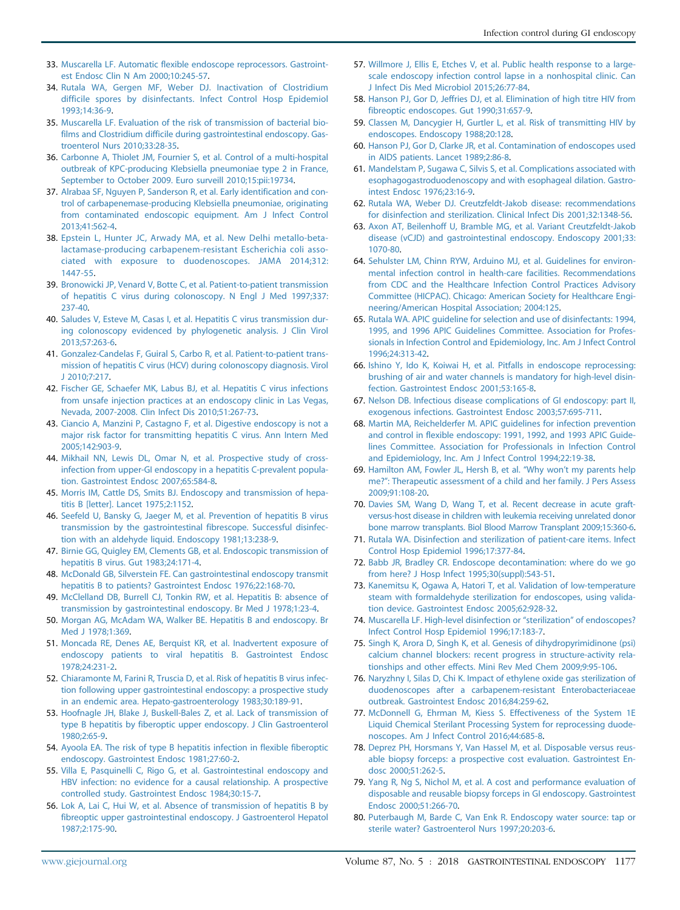- <span id="page-10-0"></span>33. [Muscarella LF. Automatic flexible endoscope reprocessors. Gastroint](http://refhub.elsevier.com/S0016-5107(17)32582-8/sref33)[est Endosc Clin N Am 2000;10:245-57.](http://refhub.elsevier.com/S0016-5107(17)32582-8/sref33)
- 34. [Rutala WA, Gergen MF, Weber DJ. Inactivation of Clostridium](http://refhub.elsevier.com/S0016-5107(17)32582-8/sref34) [difficile spores by disinfectants. Infect Control Hosp Epidemiol](http://refhub.elsevier.com/S0016-5107(17)32582-8/sref34) [1993;14:36-9.](http://refhub.elsevier.com/S0016-5107(17)32582-8/sref34)
- 35. [Muscarella LF. Evaluation of the risk of transmission of bacterial bio](http://refhub.elsevier.com/S0016-5107(17)32582-8/sref35)[films and Clostridium difficile during gastrointestinal endoscopy. Gas](http://refhub.elsevier.com/S0016-5107(17)32582-8/sref35)[troenterol Nurs 2010;33:28-35](http://refhub.elsevier.com/S0016-5107(17)32582-8/sref35).
- 36. [Carbonne A, Thiolet JM, Fournier S, et al. Control of a multi-hospital](http://refhub.elsevier.com/S0016-5107(17)32582-8/sref36) [outbreak of KPC-producing Klebsiella pneumoniae type 2 in France,](http://refhub.elsevier.com/S0016-5107(17)32582-8/sref36) [September to October 2009. Euro surveill 2010;15:pii:19734](http://refhub.elsevier.com/S0016-5107(17)32582-8/sref36).
- 37. [Alrabaa SF, Nguyen P, Sanderson R, et al. Early identification and con](http://refhub.elsevier.com/S0016-5107(17)32582-8/sref37)[trol of carbapenemase-producing Klebsiella pneumoniae, originating](http://refhub.elsevier.com/S0016-5107(17)32582-8/sref37) [from contaminated endoscopic equipment. Am J Infect Control](http://refhub.elsevier.com/S0016-5107(17)32582-8/sref37) [2013;41:562-4.](http://refhub.elsevier.com/S0016-5107(17)32582-8/sref37)
- 38. [Epstein L, Hunter JC, Arwady MA, et al. New Delhi metallo-beta](http://refhub.elsevier.com/S0016-5107(17)32582-8/sref38)[lactamase-producing carbapenem-resistant Escherichia coli asso](http://refhub.elsevier.com/S0016-5107(17)32582-8/sref38)[ciated with exposure to duodenoscopes. JAMA 2014;312:](http://refhub.elsevier.com/S0016-5107(17)32582-8/sref38) [1447-55.](http://refhub.elsevier.com/S0016-5107(17)32582-8/sref38)
- 39. [Bronowicki JP, Venard V, Botte C, et al. Patient-to-patient transmission](http://refhub.elsevier.com/S0016-5107(17)32582-8/sref39) [of hepatitis C virus during colonoscopy. N Engl J Med 1997;337:](http://refhub.elsevier.com/S0016-5107(17)32582-8/sref39) [237-40](http://refhub.elsevier.com/S0016-5107(17)32582-8/sref39).
- 40. [Saludes V, Esteve M, Casas I, et al. Hepatitis C virus transmission dur](http://refhub.elsevier.com/S0016-5107(17)32582-8/sref40)[ing colonoscopy evidenced by phylogenetic analysis. J Clin Virol](http://refhub.elsevier.com/S0016-5107(17)32582-8/sref40) [2013;57:263-6.](http://refhub.elsevier.com/S0016-5107(17)32582-8/sref40)
- 41. [Gonzalez-Candelas F, Guiral S, Carbo R, et al. Patient-to-patient trans](http://refhub.elsevier.com/S0016-5107(17)32582-8/sref41)[mission of hepatitis C virus \(HCV\) during colonoscopy diagnosis. Virol](http://refhub.elsevier.com/S0016-5107(17)32582-8/sref41)  $12010:7:217$
- 42. [Fischer GE, Schaefer MK, Labus BJ, et al. Hepatitis C virus infections](http://refhub.elsevier.com/S0016-5107(17)32582-8/sref42) [from unsafe injection practices at an endoscopy clinic in Las Vegas,](http://refhub.elsevier.com/S0016-5107(17)32582-8/sref42) [Nevada, 2007-2008. Clin Infect Dis 2010;51:267-73.](http://refhub.elsevier.com/S0016-5107(17)32582-8/sref42)
- 43. [Ciancio A, Manzini P, Castagno F, et al. Digestive endoscopy is not a](http://refhub.elsevier.com/S0016-5107(17)32582-8/sref43) [major risk factor for transmitting hepatitis C virus. Ann Intern Med](http://refhub.elsevier.com/S0016-5107(17)32582-8/sref43) [2005;142:903-9.](http://refhub.elsevier.com/S0016-5107(17)32582-8/sref43)
- 44. [Mikhail NN, Lewis DL, Omar N, et al. Prospective study of cross](http://refhub.elsevier.com/S0016-5107(17)32582-8/sref44)[infection from upper-GI endoscopy in a hepatitis C-prevalent popula](http://refhub.elsevier.com/S0016-5107(17)32582-8/sref44)[tion. Gastrointest Endosc 2007;65:584-8](http://refhub.elsevier.com/S0016-5107(17)32582-8/sref44).
- 45. [Morris IM, Cattle DS, Smits BJ. Endoscopy and transmission of hepa](http://refhub.elsevier.com/S0016-5107(17)32582-8/sref45)[titis B \[letter\]. Lancet 1975;2:1152.](http://refhub.elsevier.com/S0016-5107(17)32582-8/sref45)
- 46. [Seefeld U, Bansky G, Jaeger M, et al. Prevention of hepatitis B virus](http://refhub.elsevier.com/S0016-5107(17)32582-8/sref46) [transmission by the gastrointestinal fibrescope. Successful disinfec](http://refhub.elsevier.com/S0016-5107(17)32582-8/sref46)[tion with an aldehyde liquid. Endoscopy 1981;13:238-9.](http://refhub.elsevier.com/S0016-5107(17)32582-8/sref46)
- 47. [Birnie GG, Quigley EM, Clements GB, et al. Endoscopic transmission of](http://refhub.elsevier.com/S0016-5107(17)32582-8/sref47) [hepatitis B virus. Gut 1983;24:171-4](http://refhub.elsevier.com/S0016-5107(17)32582-8/sref47).
- 48. [McDonald GB, Silverstein FE. Can gastrointestinal endoscopy transmit](http://refhub.elsevier.com/S0016-5107(17)32582-8/sref48) [hepatitis B to patients? Gastrointest Endosc 1976;22:168-70](http://refhub.elsevier.com/S0016-5107(17)32582-8/sref48).
- 49. [McClelland DB, Burrell CJ, Tonkin RW, et al. Hepatitis B: absence of](http://refhub.elsevier.com/S0016-5107(17)32582-8/sref49) [transmission by gastrointestinal endoscopy. Br Med J 1978;1:23-4.](http://refhub.elsevier.com/S0016-5107(17)32582-8/sref49)
- 50. [Morgan AG, McAdam WA, Walker BE. Hepatitis B and endoscopy. Br](http://refhub.elsevier.com/S0016-5107(17)32582-8/sref50) [Med J 1978;1:369](http://refhub.elsevier.com/S0016-5107(17)32582-8/sref50).
- 51. [Moncada RE, Denes AE, Berquist KR, et al. Inadvertent exposure of](http://refhub.elsevier.com/S0016-5107(17)32582-8/sref51) [endoscopy patients to viral hepatitis B. Gastrointest Endosc](http://refhub.elsevier.com/S0016-5107(17)32582-8/sref51) [1978;24:231-2.](http://refhub.elsevier.com/S0016-5107(17)32582-8/sref51)
- 52. [Chiaramonte M, Farini R, Truscia D, et al. Risk of hepatitis B virus infec](http://refhub.elsevier.com/S0016-5107(17)32582-8/sref52)[tion following upper gastrointestinal endoscopy: a prospective study](http://refhub.elsevier.com/S0016-5107(17)32582-8/sref52) [in an endemic area. Hepato-gastroenterology 1983;30:189-91](http://refhub.elsevier.com/S0016-5107(17)32582-8/sref52).
- 53. [Hoofnagle JH, Blake J, Buskell-Bales Z, et al. Lack of transmission of](http://refhub.elsevier.com/S0016-5107(17)32582-8/sref53) [type B hepatitis by fiberoptic upper endoscopy. J Clin Gastroenterol](http://refhub.elsevier.com/S0016-5107(17)32582-8/sref53) [1980;2:65-9.](http://refhub.elsevier.com/S0016-5107(17)32582-8/sref53)
- 54. [Ayoola EA. The risk of type B hepatitis infection in flexible fiberoptic](http://refhub.elsevier.com/S0016-5107(17)32582-8/sref54) [endoscopy. Gastrointest Endosc 1981;27:60-2](http://refhub.elsevier.com/S0016-5107(17)32582-8/sref54).
- 55. [Villa E, Pasquinelli C, Rigo G, et al. Gastrointestinal endoscopy and](http://refhub.elsevier.com/S0016-5107(17)32582-8/sref55) [HBV infection: no evidence for a causal relationship. A prospective](http://refhub.elsevier.com/S0016-5107(17)32582-8/sref55) [controlled study. Gastrointest Endosc 1984;30:15-7.](http://refhub.elsevier.com/S0016-5107(17)32582-8/sref55)
- 56. [Lok A, Lai C, Hui W, et al. Absence of transmission of hepatitis B by](http://refhub.elsevier.com/S0016-5107(17)32582-8/sref56) [fibreoptic upper gastrointestinal endoscopy. J Gastroenterol Hepatol](http://refhub.elsevier.com/S0016-5107(17)32582-8/sref56) [1987;2:175-90.](http://refhub.elsevier.com/S0016-5107(17)32582-8/sref56)
- 57. [Willmore J, Ellis E, Etches V, et al. Public health response to a large](http://refhub.elsevier.com/S0016-5107(17)32582-8/sref57)[scale endoscopy infection control lapse in a nonhospital clinic. Can](http://refhub.elsevier.com/S0016-5107(17)32582-8/sref57) [J Infect Dis Med Microbiol 2015;26:77-84](http://refhub.elsevier.com/S0016-5107(17)32582-8/sref57).
- 58. [Hanson PJ, Gor D, Jeffries DJ, et al. Elimination of high titre HIV from](http://refhub.elsevier.com/S0016-5107(17)32582-8/sref58) [fibreoptic endoscopes. Gut 1990;31:657-9](http://refhub.elsevier.com/S0016-5107(17)32582-8/sref58).
- 59. [Classen M, Dancygier H, Gurtler L, et al. Risk of transmitting HIV by](http://refhub.elsevier.com/S0016-5107(17)32582-8/sref59) [endoscopes. Endoscopy 1988;20:128.](http://refhub.elsevier.com/S0016-5107(17)32582-8/sref59)
- 60. [Hanson PJ, Gor D, Clarke JR, et al. Contamination of endoscopes used](http://refhub.elsevier.com/S0016-5107(17)32582-8/sref60) [in AIDS patients. Lancet 1989;2:86-8](http://refhub.elsevier.com/S0016-5107(17)32582-8/sref60).
- 61. [Mandelstam P, Sugawa C, Silvis S, et al. Complications associated with](http://refhub.elsevier.com/S0016-5107(17)32582-8/sref61) [esophagogastroduodenoscopy and with esophageal dilation. Gastro](http://refhub.elsevier.com/S0016-5107(17)32582-8/sref61)[intest Endosc 1976;23:16-9.](http://refhub.elsevier.com/S0016-5107(17)32582-8/sref61)
- 62. [Rutala WA, Weber DJ. Creutzfeldt-Jakob disease: recommendations](http://refhub.elsevier.com/S0016-5107(17)32582-8/sref62) [for disinfection and sterilization. Clinical Infect Dis 2001;32:1348-56](http://refhub.elsevier.com/S0016-5107(17)32582-8/sref62).
- 63. [Axon AT, Beilenhoff U, Bramble MG, et al. Variant Creutzfeldt-Jakob](http://refhub.elsevier.com/S0016-5107(17)32582-8/sref63) [disease \(vCJD\) and gastrointestinal endoscopy. Endoscopy 2001;33:](http://refhub.elsevier.com/S0016-5107(17)32582-8/sref63) [1070-80.](http://refhub.elsevier.com/S0016-5107(17)32582-8/sref63)
- 64. [Sehulster LM, Chinn RYW, Arduino MJ, et al. Guidelines for environ](http://refhub.elsevier.com/S0016-5107(17)32582-8/sref64)[mental infection control in health-care facilities. Recommendations](http://refhub.elsevier.com/S0016-5107(17)32582-8/sref64) [from CDC and the Healthcare Infection Control Practices Advisory](http://refhub.elsevier.com/S0016-5107(17)32582-8/sref64) [Committee \(HICPAC\). Chicago: American Society for Healthcare Engi](http://refhub.elsevier.com/S0016-5107(17)32582-8/sref64)[neering/American Hospital Association; 2004:125](http://refhub.elsevier.com/S0016-5107(17)32582-8/sref64).
- 65. [Rutala WA. APIC guideline for selection and use of disinfectants: 1994,](http://refhub.elsevier.com/S0016-5107(17)32582-8/sref65) [1995, and 1996 APIC Guidelines Committee. Association for Profes](http://refhub.elsevier.com/S0016-5107(17)32582-8/sref65)[sionals in Infection Control and Epidemiology, Inc. Am J Infect Control](http://refhub.elsevier.com/S0016-5107(17)32582-8/sref65) [1996;24:313-42](http://refhub.elsevier.com/S0016-5107(17)32582-8/sref65).
- 66. [Ishino Y, Ido K, Koiwai H, et al. Pitfalls in endoscope reprocessing:](http://refhub.elsevier.com/S0016-5107(17)32582-8/sref66) [brushing of air and water channels is mandatory for high-level disin](http://refhub.elsevier.com/S0016-5107(17)32582-8/sref66)[fection. Gastrointest Endosc 2001;53:165-8](http://refhub.elsevier.com/S0016-5107(17)32582-8/sref66).
- 67. [Nelson DB. Infectious disease complications of GI endoscopy: part II,](http://refhub.elsevier.com/S0016-5107(17)32582-8/sref67) [exogenous infections. Gastrointest Endosc 2003;57:695-711.](http://refhub.elsevier.com/S0016-5107(17)32582-8/sref67)
- 68. [Martin MA, Reichelderfer M. APIC guidelines for infection prevention](http://refhub.elsevier.com/S0016-5107(17)32582-8/sref68) [and control in flexible endoscopy: 1991, 1992, and 1993 APIC Guide](http://refhub.elsevier.com/S0016-5107(17)32582-8/sref68)[lines Committee. Association for Professionals in Infection Control](http://refhub.elsevier.com/S0016-5107(17)32582-8/sref68) [and Epidemiology, Inc. Am J Infect Control 1994;22:19-38](http://refhub.elsevier.com/S0016-5107(17)32582-8/sref68).
- 69. [Hamilton AM, Fowler JL, Hersh B, et al.](http://refhub.elsevier.com/S0016-5107(17)32582-8/sref69) "Why won't my parents help me?"[: Therapeutic assessment of a child and her family. J Pers Assess](http://refhub.elsevier.com/S0016-5107(17)32582-8/sref69) [2009;91:108-20](http://refhub.elsevier.com/S0016-5107(17)32582-8/sref69).
- 70. [Davies SM, Wang D, Wang T, et al. Recent decrease in acute graft](http://refhub.elsevier.com/S0016-5107(17)32582-8/sref70)[versus-host disease in children with leukemia receiving unrelated donor](http://refhub.elsevier.com/S0016-5107(17)32582-8/sref70) [bone marrow transplants. Biol Blood Marrow Transplant 2009;15:360-6](http://refhub.elsevier.com/S0016-5107(17)32582-8/sref70).
- 71. [Rutala WA. Disinfection and sterilization of patient-care items. Infect](http://refhub.elsevier.com/S0016-5107(17)32582-8/sref71) [Control Hosp Epidemiol 1996;17:377-84.](http://refhub.elsevier.com/S0016-5107(17)32582-8/sref71)
- 72. [Babb JR, Bradley CR. Endoscope decontamination: where do we go](http://refhub.elsevier.com/S0016-5107(17)32582-8/sref72) [from here? J Hosp Infect 1995;30\(suppl\):543-51.](http://refhub.elsevier.com/S0016-5107(17)32582-8/sref72)
- 73. [Kanemitsu K, Ogawa A, Hatori T, et al. Validation of low-temperature](http://refhub.elsevier.com/S0016-5107(17)32582-8/sref73) [steam with formaldehyde sterilization for endoscopes, using valida](http://refhub.elsevier.com/S0016-5107(17)32582-8/sref73)[tion device. Gastrointest Endosc 2005;62:928-32.](http://refhub.elsevier.com/S0016-5107(17)32582-8/sref73)
- 74. [Muscarella LF. High-level disinfection or](http://refhub.elsevier.com/S0016-5107(17)32582-8/sref74) "sterilization" of endoscopes? [Infect Control Hosp Epidemiol 1996;17:183-7](http://refhub.elsevier.com/S0016-5107(17)32582-8/sref74).
- 75. [Singh K, Arora D, Singh K, et al. Genesis of dihydropyrimidinone \(psi\)](http://refhub.elsevier.com/S0016-5107(17)32582-8/sref75) [calcium channel blockers: recent progress in structure-activity rela](http://refhub.elsevier.com/S0016-5107(17)32582-8/sref75)[tionships and other effects. Mini Rev Med Chem 2009;9:95-106](http://refhub.elsevier.com/S0016-5107(17)32582-8/sref75).
- 76. [Naryzhny I, Silas D, Chi K. Impact of ethylene oxide gas sterilization of](http://refhub.elsevier.com/S0016-5107(17)32582-8/sref76) [duodenoscopes after a carbapenem-resistant Enterobacteriaceae](http://refhub.elsevier.com/S0016-5107(17)32582-8/sref76) [outbreak. Gastrointest Endosc 2016;84:259-62](http://refhub.elsevier.com/S0016-5107(17)32582-8/sref76).
- 77. [McDonnell G, Ehrman M, Kiess S. Effectiveness of the System 1E](http://refhub.elsevier.com/S0016-5107(17)32582-8/sref77) [Liquid Chemical Sterilant Processing System for reprocessing duode](http://refhub.elsevier.com/S0016-5107(17)32582-8/sref77)[noscopes. Am J Infect Control 2016;44:685-8.](http://refhub.elsevier.com/S0016-5107(17)32582-8/sref77)
- 78. [Deprez PH, Horsmans Y, Van Hassel M, et al. Disposable versus reus](http://refhub.elsevier.com/S0016-5107(17)32582-8/sref78)[able biopsy forceps: a prospective cost evaluation. Gastrointest En](http://refhub.elsevier.com/S0016-5107(17)32582-8/sref78)[dosc 2000;51:262-5](http://refhub.elsevier.com/S0016-5107(17)32582-8/sref78).
- 79. [Yang R, Ng S, Nichol M, et al. A cost and performance evaluation of](http://refhub.elsevier.com/S0016-5107(17)32582-8/sref79) [disposable and reusable biopsy forceps in GI endoscopy. Gastrointest](http://refhub.elsevier.com/S0016-5107(17)32582-8/sref79) [Endosc 2000;51:266-70.](http://refhub.elsevier.com/S0016-5107(17)32582-8/sref79)
- 80. [Puterbaugh M, Barde C, Van Enk R. Endoscopy water source: tap or](http://refhub.elsevier.com/S0016-5107(17)32582-8/sref80) [sterile water? Gastroenterol Nurs 1997;20:203-6.](http://refhub.elsevier.com/S0016-5107(17)32582-8/sref80)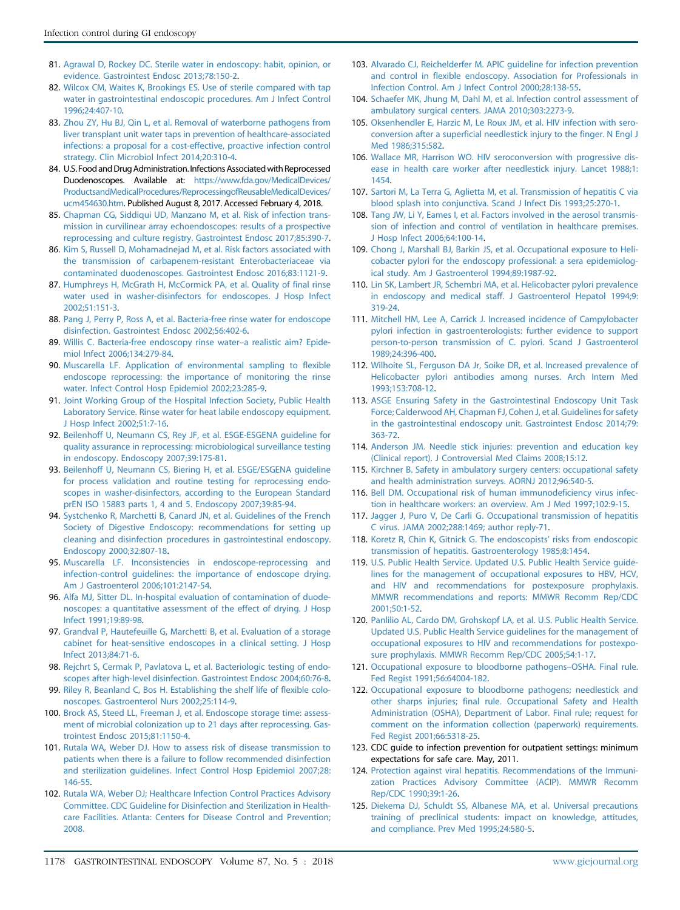- <span id="page-11-0"></span>81. [Agrawal D, Rockey DC. Sterile water in endoscopy: habit, opinion, or](http://refhub.elsevier.com/S0016-5107(17)32582-8/sref81) [evidence. Gastrointest Endosc 2013;78:150-2](http://refhub.elsevier.com/S0016-5107(17)32582-8/sref81).
- 82. [Wilcox CM, Waites K, Brookings ES. Use of sterile compared with tap](http://refhub.elsevier.com/S0016-5107(17)32582-8/sref82) [water in gastrointestinal endoscopic procedures. Am J Infect Control](http://refhub.elsevier.com/S0016-5107(17)32582-8/sref82) [1996;24:407-10.](http://refhub.elsevier.com/S0016-5107(17)32582-8/sref82)
- 83. [Zhou ZY, Hu BJ, Qin L, et al. Removal of waterborne pathogens from](http://refhub.elsevier.com/S0016-5107(17)32582-8/sref83) [liver transplant unit water taps in prevention of healthcare-associated](http://refhub.elsevier.com/S0016-5107(17)32582-8/sref83) [infections: a proposal for a cost-effective, proactive infection control](http://refhub.elsevier.com/S0016-5107(17)32582-8/sref83) [strategy. Clin Microbiol Infect 2014;20:310-4](http://refhub.elsevier.com/S0016-5107(17)32582-8/sref83).
- 84. U.S. Food and Drug Administration. Infections Associated with Reprocessed Duodenoscopes. Available at: [https://www.fda.gov/MedicalDevices/](https://www.fda.gov/MedicalDevices/ProductsandMedicalProcedures/ReprocessingofReusableMedicalDevices/ucm454630.htm) [ProductsandMedicalProcedures/ReprocessingofReusableMedicalDevices/](https://www.fda.gov/MedicalDevices/ProductsandMedicalProcedures/ReprocessingofReusableMedicalDevices/ucm454630.htm) [ucm454630.htm](https://www.fda.gov/MedicalDevices/ProductsandMedicalProcedures/ReprocessingofReusableMedicalDevices/ucm454630.htm). Published August 8, 2017. Accessed February 4, 2018.
- 85. [Chapman CG, Siddiqui UD, Manzano M, et al. Risk of infection trans](http://refhub.elsevier.com/S0016-5107(17)32582-8/sref85)[mission in curvilinear array echoendoscopes: results of a prospective](http://refhub.elsevier.com/S0016-5107(17)32582-8/sref85) [reprocessing and culture registry. Gastrointest Endosc 2017;85:390-7](http://refhub.elsevier.com/S0016-5107(17)32582-8/sref85).
- 86. [Kim S, Russell D, Mohamadnejad M, et al. Risk factors associated with](http://refhub.elsevier.com/S0016-5107(17)32582-8/sref86) [the transmission of carbapenem-resistant Enterobacteriaceae via](http://refhub.elsevier.com/S0016-5107(17)32582-8/sref86) [contaminated duodenoscopes. Gastrointest Endosc 2016;83:1121-9.](http://refhub.elsevier.com/S0016-5107(17)32582-8/sref86)
- 87. [Humphreys H, McGrath H, McCormick PA, et al. Quality of final rinse](http://refhub.elsevier.com/S0016-5107(17)32582-8/sref87) [water used in washer-disinfectors for endoscopes. J Hosp Infect](http://refhub.elsevier.com/S0016-5107(17)32582-8/sref87) [2002;51:151-3.](http://refhub.elsevier.com/S0016-5107(17)32582-8/sref87)
- 88. [Pang J, Perry P, Ross A, et al. Bacteria-free rinse water for endoscope](http://refhub.elsevier.com/S0016-5107(17)32582-8/sref88) [disinfection. Gastrointest Endosc 2002;56:402-6.](http://refhub.elsevier.com/S0016-5107(17)32582-8/sref88)
- 89. [Willis C. Bacteria-free endoscopy rinse water](http://refhub.elsevier.com/S0016-5107(17)32582-8/sref89)–a realistic aim? Epide[miol Infect 2006;134:279-84](http://refhub.elsevier.com/S0016-5107(17)32582-8/sref89).
- 90. [Muscarella LF. Application of environmental sampling to flexible](http://refhub.elsevier.com/S0016-5107(17)32582-8/sref90) [endoscope reprocessing: the importance of monitoring the rinse](http://refhub.elsevier.com/S0016-5107(17)32582-8/sref90) [water. Infect Control Hosp Epidemiol 2002;23:285-9.](http://refhub.elsevier.com/S0016-5107(17)32582-8/sref90)
- 91. [Joint Working Group of the Hospital Infection Society, Public Health](http://refhub.elsevier.com/S0016-5107(17)32582-8/sref91) [Laboratory Service. Rinse water for heat labile endoscopy equipment.](http://refhub.elsevier.com/S0016-5107(17)32582-8/sref91) [J Hosp Infect 2002;51:7-16](http://refhub.elsevier.com/S0016-5107(17)32582-8/sref91).
- 92. [Beilenhoff U, Neumann CS, Rey JF, et al. ESGE-ESGENA guideline for](http://refhub.elsevier.com/S0016-5107(17)32582-8/sref92) [quality assurance in reprocessing: microbiological surveillance testing](http://refhub.elsevier.com/S0016-5107(17)32582-8/sref92) [in endoscopy. Endoscopy 2007;39:175-81](http://refhub.elsevier.com/S0016-5107(17)32582-8/sref92).
- 93. [Beilenhoff U, Neumann CS, Biering H, et al. ESGE/ESGENA guideline](http://refhub.elsevier.com/S0016-5107(17)32582-8/sref93) [for process validation and routine testing for reprocessing endo](http://refhub.elsevier.com/S0016-5107(17)32582-8/sref93)[scopes in washer-disinfectors, according to the European Standard](http://refhub.elsevier.com/S0016-5107(17)32582-8/sref93) [prEN ISO 15883 parts 1, 4 and 5. Endoscopy 2007;39:85-94](http://refhub.elsevier.com/S0016-5107(17)32582-8/sref93).
- 94. [Systchenko R, Marchetti B, Canard JN, et al. Guidelines of the French](http://refhub.elsevier.com/S0016-5107(17)32582-8/sref94) [Society of Digestive Endoscopy: recommendations for setting up](http://refhub.elsevier.com/S0016-5107(17)32582-8/sref94) [cleaning and disinfection procedures in gastrointestinal endoscopy.](http://refhub.elsevier.com/S0016-5107(17)32582-8/sref94) [Endoscopy 2000;32:807-18.](http://refhub.elsevier.com/S0016-5107(17)32582-8/sref94)
- 95. [Muscarella LF. Inconsistencies in endoscope-reprocessing and](http://refhub.elsevier.com/S0016-5107(17)32582-8/sref95) [infection-control guidelines: the importance of endoscope drying.](http://refhub.elsevier.com/S0016-5107(17)32582-8/sref95) [Am J Gastroenterol 2006;101:2147-54](http://refhub.elsevier.com/S0016-5107(17)32582-8/sref95).
- 96. [Alfa MJ, Sitter DL. In-hospital evaluation of contamination of duode](http://refhub.elsevier.com/S0016-5107(17)32582-8/sref96)[noscopes: a quantitative assessment of the effect of drying. J Hosp](http://refhub.elsevier.com/S0016-5107(17)32582-8/sref96) [Infect 1991;19:89-98](http://refhub.elsevier.com/S0016-5107(17)32582-8/sref96).
- 97. [Grandval P, Hautefeuille G, Marchetti B, et al. Evaluation of a storage](http://refhub.elsevier.com/S0016-5107(17)32582-8/sref97) [cabinet for heat-sensitive endoscopes in a clinical setting. J Hosp](http://refhub.elsevier.com/S0016-5107(17)32582-8/sref97) [Infect 2013;84:71-6](http://refhub.elsevier.com/S0016-5107(17)32582-8/sref97).
- 98. [Rejchrt S, Cermak P, Pavlatova L, et al. Bacteriologic testing of endo](http://refhub.elsevier.com/S0016-5107(17)32582-8/sref98)[scopes after high-level disinfection. Gastrointest Endosc 2004;60:76-8](http://refhub.elsevier.com/S0016-5107(17)32582-8/sref98).
- 99. [Riley R, Beanland C, Bos H. Establishing the shelf life of flexible colo](http://refhub.elsevier.com/S0016-5107(17)32582-8/sref99)[noscopes. Gastroenterol Nurs 2002;25:114-9](http://refhub.elsevier.com/S0016-5107(17)32582-8/sref99).
- 100. [Brock AS, Steed LL, Freeman J, et al. Endoscope storage time: assess](http://refhub.elsevier.com/S0016-5107(17)32582-8/sref100)[ment of microbial colonization up to 21 days after reprocessing. Gas](http://refhub.elsevier.com/S0016-5107(17)32582-8/sref100)[trointest Endosc 2015;81:1150-4.](http://refhub.elsevier.com/S0016-5107(17)32582-8/sref100)
- 101. [Rutala WA, Weber DJ. How to assess risk of disease transmission to](http://refhub.elsevier.com/S0016-5107(17)32582-8/sref101) [patients when there is a failure to follow recommended disinfection](http://refhub.elsevier.com/S0016-5107(17)32582-8/sref101) [and sterilization guidelines. Infect Control Hosp Epidemiol 2007;28:](http://refhub.elsevier.com/S0016-5107(17)32582-8/sref101) [146-55](http://refhub.elsevier.com/S0016-5107(17)32582-8/sref101).
- 102. [Rutala WA, Weber DJ; Healthcare Infection Control Practices Advisory](http://refhub.elsevier.com/S0016-5107(17)32582-8/sref102) [Committee. CDC Guideline for Disinfection and Sterilization in Health](http://refhub.elsevier.com/S0016-5107(17)32582-8/sref102)[care Facilities. Atlanta: Centers for Disease Control and Prevention;](http://refhub.elsevier.com/S0016-5107(17)32582-8/sref102) [2008.](http://refhub.elsevier.com/S0016-5107(17)32582-8/sref102)
- 103. [Alvarado CJ, Reichelderfer M. APIC guideline for infection prevention](http://refhub.elsevier.com/S0016-5107(17)32582-8/sref103) [and control in flexible endoscopy. Association for Professionals in](http://refhub.elsevier.com/S0016-5107(17)32582-8/sref103) [Infection Control. Am J Infect Control 2000;28:138-55.](http://refhub.elsevier.com/S0016-5107(17)32582-8/sref103)
- 104. [Schaefer MK, Jhung M, Dahl M, et al. Infection control assessment of](http://refhub.elsevier.com/S0016-5107(17)32582-8/sref104) [ambulatory surgical centers. JAMA 2010;303:2273-9](http://refhub.elsevier.com/S0016-5107(17)32582-8/sref104).
- 105. [Oksenhendler E, Harzic M, Le Roux JM, et al. HIV infection with sero](http://refhub.elsevier.com/S0016-5107(17)32582-8/sref105)[conversion after a superficial needlestick injury to the finger. N Engl J](http://refhub.elsevier.com/S0016-5107(17)32582-8/sref105) [Med 1986;315:582](http://refhub.elsevier.com/S0016-5107(17)32582-8/sref105).
- 106. [Wallace MR, Harrison WO. HIV seroconversion with progressive dis](http://refhub.elsevier.com/S0016-5107(17)32582-8/sref106)[ease in health care worker after needlestick injury. Lancet 1988;1:](http://refhub.elsevier.com/S0016-5107(17)32582-8/sref106) [1454](http://refhub.elsevier.com/S0016-5107(17)32582-8/sref106).
- 107. [Sartori M, La Terra G, Aglietta M, et al. Transmission of hepatitis C via](http://refhub.elsevier.com/S0016-5107(17)32582-8/sref107) [blood splash into conjunctiva. Scand J Infect Dis 1993;25:270-1.](http://refhub.elsevier.com/S0016-5107(17)32582-8/sref107)
- 108. [Tang JW, Li Y, Eames I, et al. Factors involved in the aerosol transmis](http://refhub.elsevier.com/S0016-5107(17)32582-8/sref108)[sion of infection and control of ventilation in healthcare premises.](http://refhub.elsevier.com/S0016-5107(17)32582-8/sref108) [J Hosp Infect 2006;64:100-14.](http://refhub.elsevier.com/S0016-5107(17)32582-8/sref108)
- 109. [Chong J, Marshall BJ, Barkin JS, et al. Occupational exposure to Heli](http://refhub.elsevier.com/S0016-5107(17)32582-8/sref109)[cobacter pylori for the endoscopy professional: a sera epidemiolog](http://refhub.elsevier.com/S0016-5107(17)32582-8/sref109)[ical study. Am J Gastroenterol 1994;89:1987-92.](http://refhub.elsevier.com/S0016-5107(17)32582-8/sref109)
- 110. [Lin SK, Lambert JR, Schembri MA, et al. Helicobacter pylori prevalence](http://refhub.elsevier.com/S0016-5107(17)32582-8/sref110) [in endoscopy and medical staff. J Gastroenterol Hepatol 1994;9:](http://refhub.elsevier.com/S0016-5107(17)32582-8/sref110) [319-24.](http://refhub.elsevier.com/S0016-5107(17)32582-8/sref110)
- 111. [Mitchell HM, Lee A, Carrick J. Increased incidence of Campylobacter](http://refhub.elsevier.com/S0016-5107(17)32582-8/sref111) [pylori infection in gastroenterologists: further evidence to support](http://refhub.elsevier.com/S0016-5107(17)32582-8/sref111) [person-to-person transmission of C. pylori. Scand J Gastroenterol](http://refhub.elsevier.com/S0016-5107(17)32582-8/sref111) [1989;24:396-400](http://refhub.elsevier.com/S0016-5107(17)32582-8/sref111).
- 112. [Wilhoite SL, Ferguson DA Jr, Soike DR, et al. Increased prevalence of](http://refhub.elsevier.com/S0016-5107(17)32582-8/sref112) [Helicobacter pylori antibodies among nurses. Arch Intern Med](http://refhub.elsevier.com/S0016-5107(17)32582-8/sref112) [1993;153:708-12](http://refhub.elsevier.com/S0016-5107(17)32582-8/sref112).
- 113. [ASGE Ensuring Safety in the Gastrointestinal Endoscopy Unit Task](http://refhub.elsevier.com/S0016-5107(17)32582-8/sref113) [Force; Calderwood AH, Chapman FJ, Cohen J, et al. Guidelines for safety](http://refhub.elsevier.com/S0016-5107(17)32582-8/sref113) [in the gastrointestinal endoscopy unit. Gastrointest Endosc 2014;79:](http://refhub.elsevier.com/S0016-5107(17)32582-8/sref113) [363-72.](http://refhub.elsevier.com/S0016-5107(17)32582-8/sref113)
- 114. [Anderson JM. Needle stick injuries: prevention and education key](http://refhub.elsevier.com/S0016-5107(17)32582-8/sref114) [\(Clinical report\). J Controversial Med Claims 2008;15:12](http://refhub.elsevier.com/S0016-5107(17)32582-8/sref114).
- 115. [Kirchner B. Safety in ambulatory surgery centers: occupational safety](http://refhub.elsevier.com/S0016-5107(17)32582-8/sref115) [and health administration surveys. AORNJ 2012;96:540-5](http://refhub.elsevier.com/S0016-5107(17)32582-8/sref115).
- 116. [Bell DM. Occupational risk of human immunodeficiency virus infec](http://refhub.elsevier.com/S0016-5107(17)32582-8/sref116)[tion in healthcare workers: an overview. Am J Med 1997;102:9-15](http://refhub.elsevier.com/S0016-5107(17)32582-8/sref116).
- 117. [Jagger J, Puro V, De Carli G. Occupational transmission of hepatitis](http://refhub.elsevier.com/S0016-5107(17)32582-8/sref117) [C virus. JAMA 2002;288:1469; author reply-71.](http://refhub.elsevier.com/S0016-5107(17)32582-8/sref117)
- 118. [Koretz R, Chin K, Gitnick G. The endoscopists](http://refhub.elsevier.com/S0016-5107(17)32582-8/sref118)' risks from endoscopic [transmission of hepatitis. Gastroenterology 1985;8:1454.](http://refhub.elsevier.com/S0016-5107(17)32582-8/sref118)
- 119. [U.S. Public Health Service. Updated U.S. Public Health Service guide](http://refhub.elsevier.com/S0016-5107(17)32582-8/sref119)[lines for the management of occupational exposures to HBV, HCV,](http://refhub.elsevier.com/S0016-5107(17)32582-8/sref119) [and HIV and recommendations for postexposure prophylaxis.](http://refhub.elsevier.com/S0016-5107(17)32582-8/sref119) [MMWR recommendations and reports: MMWR Recomm Rep/CDC](http://refhub.elsevier.com/S0016-5107(17)32582-8/sref119) [2001;50:1-52](http://refhub.elsevier.com/S0016-5107(17)32582-8/sref119).
- 120. [Panlilio AL, Cardo DM, Grohskopf LA, et al. U.S. Public Health Service.](http://refhub.elsevier.com/S0016-5107(17)32582-8/sref120) [Updated U.S. Public Health Service guidelines for the management of](http://refhub.elsevier.com/S0016-5107(17)32582-8/sref120) [occupational exposures to HIV and recommendations for postexpo](http://refhub.elsevier.com/S0016-5107(17)32582-8/sref120)[sure prophylaxis. MMWR Recomm Rep/CDC 2005;54:1-17.](http://refhub.elsevier.com/S0016-5107(17)32582-8/sref120)
- 121. [Occupational exposure to bloodborne pathogens](http://refhub.elsevier.com/S0016-5107(17)32582-8/sref121)–OSHA. Final rule. [Fed Regist 1991;56:64004-182](http://refhub.elsevier.com/S0016-5107(17)32582-8/sref121).
- 122. [Occupational exposure to bloodborne pathogens; needlestick and](http://refhub.elsevier.com/S0016-5107(17)32582-8/sref122) [other sharps injuries; final rule. Occupational Safety and Health](http://refhub.elsevier.com/S0016-5107(17)32582-8/sref122) [Administration \(OSHA\), Department of Labor. Final rule; request for](http://refhub.elsevier.com/S0016-5107(17)32582-8/sref122) [comment on the information collection \(paperwork\) requirements.](http://refhub.elsevier.com/S0016-5107(17)32582-8/sref122) [Fed Regist 2001;66:5318-25](http://refhub.elsevier.com/S0016-5107(17)32582-8/sref122).
- 123. CDC guide to infection prevention for outpatient settings: minimum expectations for safe care. May, 2011.
- 124. [Protection against viral hepatitis. Recommendations of the Immuni](http://refhub.elsevier.com/S0016-5107(17)32582-8/sref124)[zation Practices Advisory Committee \(ACIP\). MMWR Recomm](http://refhub.elsevier.com/S0016-5107(17)32582-8/sref124) [Rep/CDC 1990;39:1-26.](http://refhub.elsevier.com/S0016-5107(17)32582-8/sref124)
- 125. [Diekema DJ, Schuldt SS, Albanese MA, et al. Universal precautions](http://refhub.elsevier.com/S0016-5107(17)32582-8/sref125) [training of preclinical students: impact on knowledge, attitudes,](http://refhub.elsevier.com/S0016-5107(17)32582-8/sref125) [and compliance. Prev Med 1995;24:580-5.](http://refhub.elsevier.com/S0016-5107(17)32582-8/sref125)